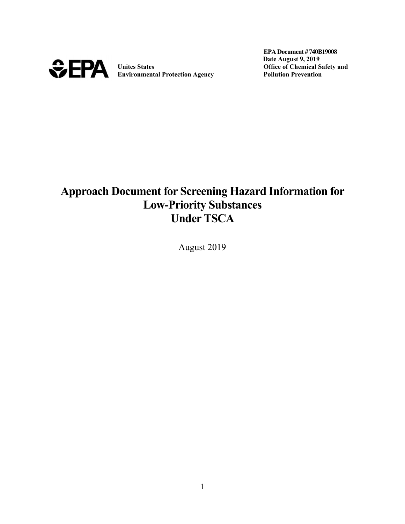

**Unites States Chemical Safety and Chemical Safety and Chemical Safety and Chemical Safety and Chemical Safety and Chemical Safety and Chemical Safety and Chemical Safety and Chemical Safety and Chemical Safety and Chemica Environmental Protection Agency Pollution Prevention**

 **EPA Document #740B19008 Date August 9, 2019**

# **Approach Document for Screening Hazard Information for Low-Priority Substances Under TSCA**

August 2019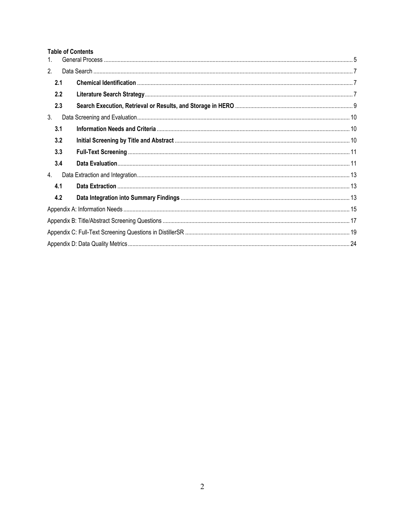#### **Table of Contents**

| 1 <sub>1</sub> |     |  |  |
|----------------|-----|--|--|
| 2.             |     |  |  |
|                | 2.1 |  |  |
|                | 2.2 |  |  |
|                | 2.3 |  |  |
| 3.             |     |  |  |
|                | 3.1 |  |  |
|                | 3.2 |  |  |
|                | 3.3 |  |  |
|                | 3.4 |  |  |
| 4.             |     |  |  |
|                | 4.1 |  |  |
|                | 4.2 |  |  |
|                |     |  |  |
|                |     |  |  |
|                |     |  |  |
|                |     |  |  |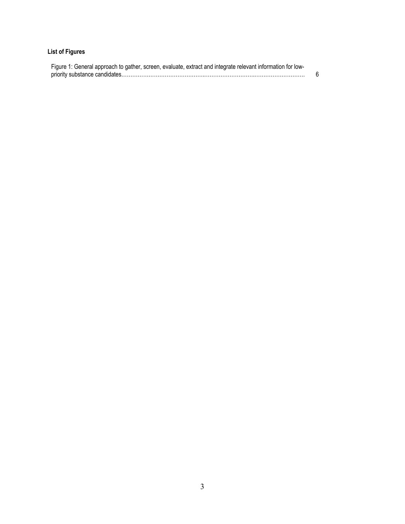### **List of Figures**

| Figure 1: General approach to gather, screen, evaluate, extract and integrate relevant information for low- |  |
|-------------------------------------------------------------------------------------------------------------|--|
|                                                                                                             |  |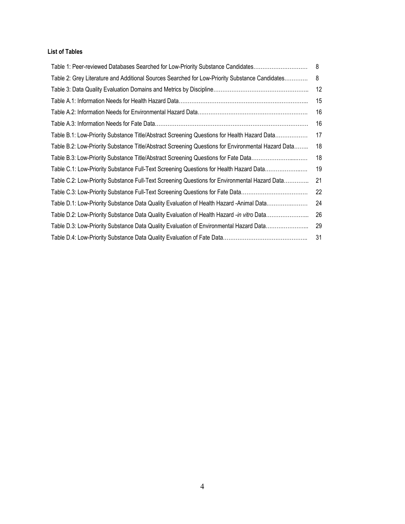#### **List of Tables**

| Table 1: Peer-reviewed Databases Searched for Low-Priority Substance Candidates                    | 8  |
|----------------------------------------------------------------------------------------------------|----|
| Table 2: Grey Literature and Additional Sources Searched for Low-Priority Substance Candidates     | 8  |
|                                                                                                    | 12 |
|                                                                                                    | 15 |
|                                                                                                    | 16 |
|                                                                                                    | 16 |
| Table B.1: Low-Priority Substance Title/Abstract Screening Questions for Health Hazard Data        | 17 |
| Table B.2: Low-Priority Substance Title/Abstract Screening Questions for Environmental Hazard Data | 18 |
| Table B.3: Low-Priority Substance Title/Abstract Screening Questions for Fate Data                 | 18 |
| Table C.1: Low-Priority Substance Full-Text Screening Questions for Health Hazard Data             | 19 |
| Table C.2: Low-Priority Substance Full-Text Screening Questions for Environmental Hazard Data      | 21 |
| Table C.3: Low-Priority Substance Full-Text Screening Questions for Fate Data                      | 22 |
| Table D.1: Low-Priority Substance Data Quality Evaluation of Health Hazard -Animal Data            | 24 |
| Table D.2: Low-Priority Substance Data Quality Evaluation of Health Hazard -in vitro Data          | 26 |
| Table D.3: Low-Priority Substance Data Quality Evaluation of Environmental Hazard Data             | 29 |
|                                                                                                    | 31 |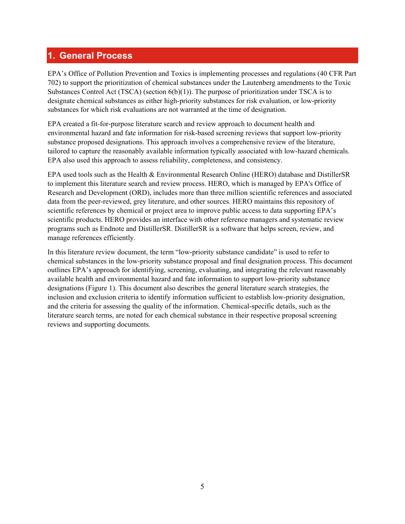### <span id="page-4-0"></span>**1. General Process**

EPA's Office of Pollution Prevention and Toxics is implementing processes and regulations (40 CFR Part 702) to support the prioritization of chemical substances under the Lautenberg amendments to the Toxic Substances Control Act (TSCA) (section 6(b)(1)). The purpose of prioritization under TSCA is to designate chemical substances as either high-priority substances for risk evaluation, or low-priority substances for which risk evaluations are not warranted at the time of designation.

EPA created a fit-for-purpose literature search and review approach to document health and environmental hazard and fate information for risk-based screening reviews that support low-priority substance proposed designations. This approach involves a comprehensive review of the literature, tailored to capture the reasonably available information typically associated with low-hazard chemicals. EPA also used this approach to assess reliability, completeness, and consistency.

EPA used tools such as the Health & Environmental Research Online (HERO) database and DistillerSR to implement this literature search and review process. HERO, which is managed by EPA's Office of Research and Development (ORD), includes more than three million scientific references and associated data from the peer-reviewed, grey literature, and other sources. HERO maintains this repository of scientific references by chemical or project area to improve public access to data supporting EPA's scientific products. HERO provides an interface with other reference managers and systematic review programs such as Endnote and DistillerSR. DistillerSR is a software that helps screen, review, and manage references efficiently.

In this literature review document, the term "low-priority substance candidate" is used to refer to chemical substances in the low-priority substance proposal and final designation process. This document outlines EPA's approach for identifying, screening, evaluating, and integrating the relevant reasonably available health and environmental hazard and fate information to support low-priority substance designations (Figure 1). This document also describes the general literature search strategies, the inclusion and exclusion criteria to identify information sufficient to establish low-priority designation, and the criteria for assessing the quality of the information. Chemical-specific details, such as the literature search terms, are noted for each chemical substance in their respective proposal screening reviews and supporting documents.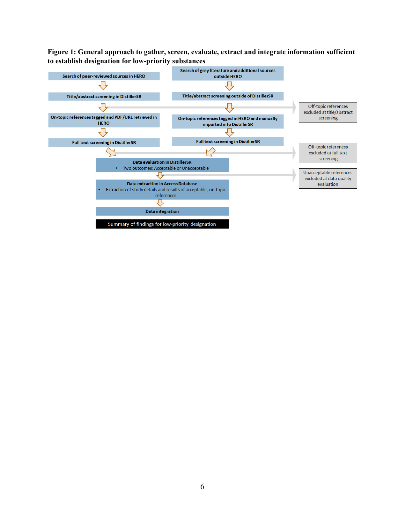#### <span id="page-5-0"></span>**Figure 1: General approach to gather, screen, evaluate, extract and integrate information sufficient to establish designation for low-priority substances**

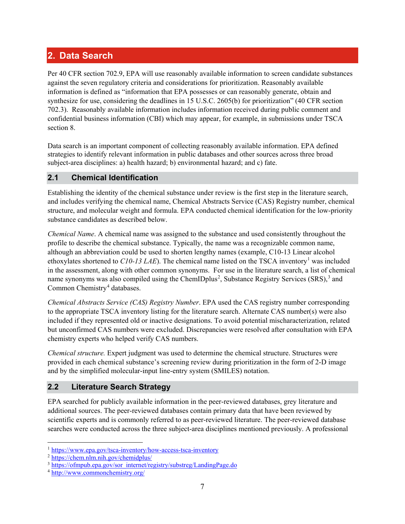### <span id="page-6-0"></span>**2. Data Search**

Per 40 CFR section 702.9, EPA will use reasonably available information to screen candidate substances against the seven regulatory criteria and considerations for prioritization. Reasonably available information is defined as "information that EPA possesses or can reasonably generate, obtain and synthesize for use, considering the deadlines in 15 U.S.C. 2605(b) for prioritization" (40 CFR section 702.3). Reasonably available information includes information received during public comment and confidential business information (CBI) which may appear, for example, in submissions under TSCA section 8.

Data search is an important component of collecting reasonably available information. EPA defined strategies to identify relevant information in public databases and other sources across three broad subject-area disciplines: a) health hazard; b) environmental hazard; and c) fate.

#### <span id="page-6-1"></span>**2.1 Chemical Identification**

Establishing the identity of the chemical substance under review is the first step in the literature search, and includes verifying the chemical name, Chemical Abstracts Service (CAS) Registry number, chemical structure, and molecular weight and formula. EPA conducted chemical identification for the low-priority substance candidates as described below.

*Chemical Name*. A chemical name was assigned to the substance and used consistently throughout the profile to describe the chemical substance. Typically, the name was a recognizable common name, although an abbreviation could be used to shorten lengthy names (example, C10-13 Linear alcohol ethoxylates shortened to  $C10-13$  $C10-13$  $C10-13$  *LAE*). The chemical name listed on the TSCA inventory<sup>1</sup> was included in the assessment, along with other common synonyms. For use in the literature search, a list of chemical name synonyms was also compiled using the ChemIDplus<sup>[2](#page-6-4)</sup>, Substance Registry Services (SRS),<sup>[3](#page-6-5)</sup> and Common Chemistry<sup>[4](#page-6-6)</sup> databases.

*Chemical Abstracts Service (CAS) Registry Number*. EPA used the CAS registry number corresponding to the appropriate TSCA inventory listing for the literature search. Alternate CAS number(s) were also included if they represented old or inactive designations. To avoid potential mischaracterization, related but unconfirmed CAS numbers were excluded. Discrepancies were resolved after consultation with EPA chemistry experts who helped verify CAS numbers.

*Chemical structure.* Expert judgment was used to determine the chemical structure. Structures were provided in each chemical substance's screening review during prioritization in the form of 2-D image and by the simplified molecular-input line-entry system (SMILES) notation.

### <span id="page-6-2"></span>**2.2 Literature Search Strategy**

EPA searched for publicly available information in the peer-reviewed databases, grey literature and additional sources. The peer-reviewed databases contain primary data that have been reviewed by scientific experts and is commonly referred to as peer-reviewed literature. The peer-reviewed database searches were conducted across the three subject-area disciplines mentioned previously. A professional

<span id="page-6-3"></span> <sup>1</sup> <https://www.epa.gov/tsca-inventory/how-access-tsca-inventory>

<span id="page-6-4"></span><sup>2</sup> <https://chem.nlm.nih.gov/chemidplus/>

<span id="page-6-5"></span><sup>&</sup>lt;sup>3</sup> [https://ofmpub.epa.gov/sor\\_internet/registry/substreg/LandingPage.do](https://ofmpub.epa.gov/sor_internet/registry/substreg/LandingPage.do)

<span id="page-6-6"></span><sup>4</sup> <http://www.commonchemistry.org/>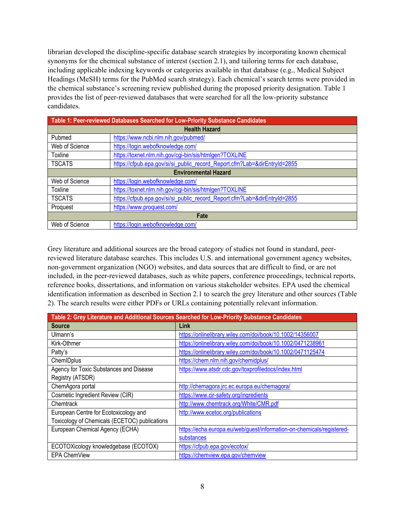librarian developed the discipline-specific database search strategies by incorporating known chemical synonyms for the chemical substance of interest (section 2.1), and tailoring terms for each database, including applicable indexing keywords or categories available in that database (e.g., Medical Subject Headings (MeSH) terms for the PubMed search strategy). Each chemical's search terms were provided in the chemical substance's screening review published during the proposed priority designation. Table 1 provides the list of peer-reviewed databases that were searched for all the low-priority substance candidates.

<span id="page-7-0"></span>

| Table 1: Peer-reviewed Databases Searched for Low-Priority Substance Candidates |                                                                           |  |
|---------------------------------------------------------------------------------|---------------------------------------------------------------------------|--|
| <b>Health Hazard</b>                                                            |                                                                           |  |
| Pubmed                                                                          | https://www.ncbi.nlm.nih.gov/pubmed/                                      |  |
| Web of Science                                                                  | https://login.webofknowledge.com/                                         |  |
| Toxline                                                                         | https://toxnet.nlm.nih.gov/cgi-bin/sis/htmlgen?TOXLINE                    |  |
| <b>TSCATS</b>                                                                   | https://cfpub.epa.gov/si/si_public_record_Report.cfm?Lab=&dirEntryId=2855 |  |
| <b>Environmental Hazard</b>                                                     |                                                                           |  |
| Web of Science                                                                  | https://login.webofknowledge.com/                                         |  |
| Toxline                                                                         | https://toxnet.nlm.nih.gov/cgi-bin/sis/htmlgen?TOXLINE                    |  |
| <b>TSCATS</b>                                                                   | https://cfpub.epa.gov/si/si_public_record_Report.cfm?Lab=&dirEntryId=2855 |  |
| Proquest                                                                        | https://www.proquest.com/                                                 |  |
| Fate                                                                            |                                                                           |  |
| Web of Science                                                                  | https://login.webofknowledge.com/                                         |  |

Grey literature and additional sources are the broad category of studies not found in standard, peerreviewed literature database searches. This includes U.S. and international government agency websites, non-government organization (NGO) websites, and data sources that are difficult to find, or are not included, in the peer-reviewed databases, such as white papers, conference proceedings, technical reports, reference books, dissertations, and information on various stakeholder websites. EPA used the chemical identification information as described in Section 2.1 to search the grey literature and other sources (Table 2). The search results were either PDFs or URLs containing potentially relevant information.

<span id="page-7-1"></span>

| Table 2: Grey Literature and Additional Sources Searched for Low-Priority Substance Candidates |                                                                       |  |
|------------------------------------------------------------------------------------------------|-----------------------------------------------------------------------|--|
| <b>Source</b>                                                                                  | Link                                                                  |  |
| Ulmann's                                                                                       | https://onlinelibrary.wiley.com/doi/book/10.1002/14356007             |  |
| Kirk-Othmer                                                                                    | https://onlinelibrary.wiley.com/doi/book/10.1002/0471238961           |  |
| Patty's                                                                                        | https://onlinelibrary.wiley.com/doi/book/10.1002/0471125474           |  |
| ChemIDplus                                                                                     | https://chem.nlm.nih.gov/chemidplus/                                  |  |
| Agency for Toxic Substances and Disease                                                        | https://www.atsdr.cdc.gov/toxprofiledocs/index.html                   |  |
| Registry (ATSDR)                                                                               |                                                                       |  |
| ChemAgora portal                                                                               | http://chemagora.jrc.ec.europa.eu/chemagora/                          |  |
| Cosmetic Ingredient Review (CIR)                                                               | https://www.cir-safety.org/ingredients                                |  |
| Chemtrack                                                                                      | http://www.chemtrack.org/White/CMR.pdf                                |  |
| European Centre for Ecotoxicology and                                                          | http://www.ecetoc.org/publications                                    |  |
| Toxicology of Chemicals (ECETOC) publications                                                  |                                                                       |  |
| European Chemical Agency (ECHA)                                                                | https://echa.europa.eu/web/guest/information-on-chemicals/registered- |  |
|                                                                                                | substances                                                            |  |
| ECOTOXicology knowledgebase (ECOTOX)                                                           | https://cfpub.epa.gov/ecotox/                                         |  |
| EPA ChemView                                                                                   | https://chemview.epa.gov/chemview                                     |  |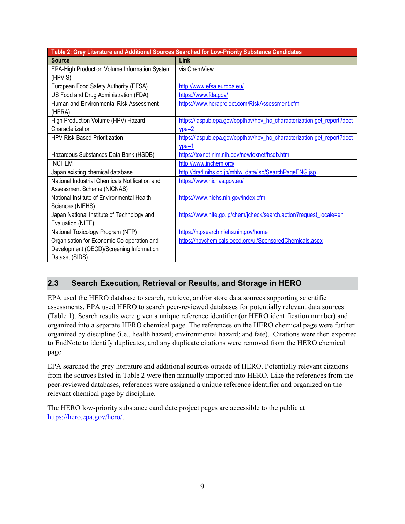|                                                | Table 2: Grey Literature and Additional Sources Searched for Low-Priority Substance Candidates |
|------------------------------------------------|------------------------------------------------------------------------------------------------|
| <b>Source</b>                                  | Link                                                                                           |
| EPA-High Production Volume Information System  | via ChemView                                                                                   |
| (HPVIS)                                        |                                                                                                |
| European Food Safety Authority (EFSA)          | http://www.efsa.europa.eu/                                                                     |
| US Food and Drug Administration (FDA)          | https://www.fda.gov/                                                                           |
| Human and Environmental Risk Assessment        | https://www.heraproject.com/RiskAssessment.cfm                                                 |
| (HERA)                                         |                                                                                                |
| High Production Volume (HPV) Hazard            | https://iaspub.epa.gov/oppthpv/hpv hc characterization.get report?doct                         |
| Characterization                               | $ype=2$                                                                                        |
| <b>HPV Risk-Based Prioritization</b>           | https://iaspub.epa.gov/oppthpv/hpv_hc_characterization.get_report?doct                         |
|                                                | $vpe=1$                                                                                        |
| Hazardous Substances Data Bank (HSDB)          | https://toxnet.nlm.nih.gov/newtoxnet/hsdb.htm                                                  |
| <b>INCHEM</b>                                  | http://www.inchem.org/                                                                         |
| Japan existing chemical database               | http://dra4.nihs.go.jp/mhlw_data/jsp/SearchPageENG.jsp                                         |
| National Industrial Chemicals Notification and | https://www.nicnas.gov.au/                                                                     |
| Assessment Scheme (NICNAS)                     |                                                                                                |
| National Institute of Environmental Health     | https://www.niehs.nih.gov/index.cfm                                                            |
| Sciences (NIEHS)                               |                                                                                                |
| Japan National Institute of Technology and     | https://www.nite.go.jp/chem/jcheck/search.action?request_locale=en                             |
| Evaluation (NITE)                              |                                                                                                |
| National Toxicology Program (NTP)              | https://ntpsearch.niehs.nih.gov/home                                                           |
| Organisation for Economic Co-operation and     | https://hpvchemicals.oecd.org/ui/SponsoredChemicals.aspx                                       |
| Development (OECD)/Screening Information       |                                                                                                |
| Dataset (SIDS)                                 |                                                                                                |

### <span id="page-8-0"></span>**2.3 Search Execution, Retrieval or Results, and Storage in HERO**

EPA used the HERO database to search, retrieve, and/or store data sources supporting scientific assessments. EPA used HERO to search peer-reviewed databases for potentially relevant data sources (Table 1). Search results were given a unique reference identifier (or HERO identification number) and organized into a separate HERO chemical page. The references on the HERO chemical page were further organized by discipline (i.e., health hazard; environmental hazard; and fate). Citations were then exported to EndNote to identify duplicates, and any duplicate citations were removed from the HERO chemical page.

EPA searched the grey literature and additional sources outside of HERO. Potentially relevant citations from the sources listed in Table 2 were then manually imported into HERO. Like the references from the peer-reviewed databases, references were assigned a unique reference identifier and organized on the relevant chemical page by discipline.

The HERO low-priority substance candidate project pages are accessible to the public at [https://hero.epa.gov/hero/.](https://hero.epa.gov/hero/)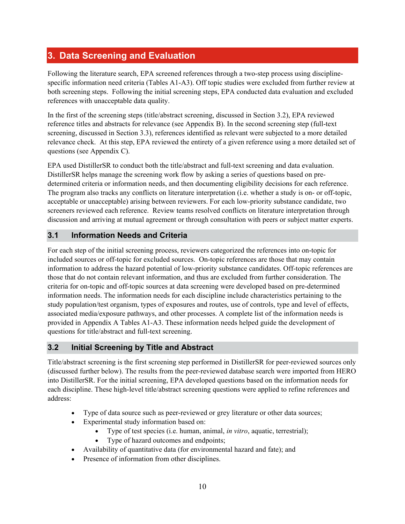## <span id="page-9-0"></span>**3. Data Screening and Evaluation**

Following the literature search, EPA screened references through a two-step process using disciplinespecific information need criteria (Tables A1-A3). Off topic studies were excluded from further review at both screening steps. Following the initial screening steps, EPA conducted data evaluation and excluded references with unacceptable data quality.

In the first of the screening steps (title/abstract screening, discussed in Section 3.2), EPA reviewed reference titles and abstracts for relevance (see Appendix B). In the second screening step (full-text screening, discussed in Section 3.3), references identified as relevant were subjected to a more detailed relevance check. At this step, EPA reviewed the entirety of a given reference using a more detailed set of questions (see Appendix C).

EPA used DistillerSR to conduct both the title/abstract and full-text screening and data evaluation. DistillerSR helps manage the screening work flow by asking a series of questions based on predetermined criteria or information needs, and then documenting eligibility decisions for each reference. The program also tracks any conflicts on literature interpretation (i.e. whether a study is on- or off-topic, acceptable or unacceptable) arising between reviewers. For each low-priority substance candidate, two screeners reviewed each reference. Review teams resolved conflicts on literature interpretation through discussion and arriving at mutual agreement or through consultation with peers or subject matter experts.

#### <span id="page-9-1"></span>**3.1 Information Needs and Criteria**

For each step of the initial screening process, reviewers categorized the references into on-topic for included sources or off-topic for excluded sources. On-topic references are those that may contain information to address the hazard potential of low-priority substance candidates. Off-topic references are those that do not contain relevant information, and thus are excluded from further consideration. The criteria for on-topic and off-topic sources at data screening were developed based on pre-determined information needs. The information needs for each discipline include characteristics pertaining to the study population/test organism, types of exposures and routes, use of controls, type and level of effects, associated media/exposure pathways, and other processes. A complete list of the information needs is provided in Appendix A Tables A1-A3. These information needs helped guide the development of questions for title/abstract and full-text screening.

#### <span id="page-9-2"></span>**3.2 Initial Screening by Title and Abstract**

Title/abstract screening is the first screening step performed in DistillerSR for peer-reviewed sources only (discussed further below). The results from the peer-reviewed database search were imported from HERO into DistillerSR. For the initial screening, EPA developed questions based on the information needs for each discipline. These high-level title/abstract screening questions were applied to refine references and address:

- Type of data source such as peer-reviewed or grey literature or other data sources;
- Experimental study information based on:
	- Type of test species (i.e. human, animal, *in vitro*, aquatic, terrestrial);
	- Type of hazard outcomes and endpoints;
- Availability of quantitative data (for environmental hazard and fate); and
- Presence of information from other disciplines.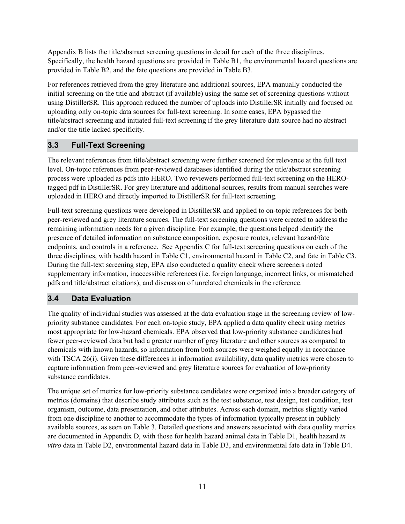Appendix B lists the title/abstract screening questions in detail for each of the three disciplines. Specifically, the health hazard questions are provided in Table B1, the environmental hazard questions are provided in Table B2, and the fate questions are provided in Table B3.

For references retrieved from the grey literature and additional sources, EPA manually conducted the initial screening on the title and abstract (if available) using the same set of screening questions without using DistillerSR. This approach reduced the number of uploads into DistillerSR initially and focused on uploading only on-topic data sources for full-text screening. In some cases, EPA bypassed the title/abstract screening and initiated full-text screening if the grey literature data source had no abstract and/or the title lacked specificity.

### <span id="page-10-0"></span>**3.3 Full-Text Screening**

The relevant references from title/abstract screening were further screened for relevance at the full text level. On-topic references from peer-reviewed databases identified during the title/abstract screening process were uploaded as pdfs into HERO. Two reviewers performed full-text screening on the HEROtagged pdf in DistillerSR. For grey literature and additional sources, results from manual searches were uploaded in HERO and directly imported to DistillerSR for full-text screening*.*

Full-text screening questions were developed in DistillerSR and applied to on-topic references for both peer-reviewed and grey literature sources. The full-text screening questions were created to address the remaining information needs for a given discipline. For example, the questions helped identify the presence of detailed information on substance composition, exposure routes, relevant hazard/fate endpoints, and controls in a reference. See Appendix C for full-text screening questions on each of the three disciplines, with health hazard in Table C1, environmental hazard in Table C2, and fate in Table C3. During the full-text screening step, EPA also conducted a quality check where screeners noted supplementary information, inaccessible references (i.e. foreign language, incorrect links, or mismatched pdfs and title/abstract citations), and discussion of unrelated chemicals in the reference.

### <span id="page-10-1"></span>**3.4 Data Evaluation**

The quality of individual studies was assessed at the data evaluation stage in the screening review of lowpriority substance candidates. For each on-topic study, EPA applied a data quality check using metrics most appropriate for low-hazard chemicals. EPA observed that low-priority substance candidates had fewer peer-reviewed data but had a greater number of grey literature and other sources as compared to chemicals with known hazards, so information from both sources were weighed equally in accordance with TSCA 26(i). Given these differences in information availability, data quality metrics were chosen to capture information from peer-reviewed and grey literature sources for evaluation of low-priority substance candidates.

The unique set of metrics for low-priority substance candidates were organized into a broader category of metrics (domains) that describe study attributes such as the test substance, test design, test condition, test organism, outcome, data presentation, and other attributes. Across each domain, metrics slightly varied from one discipline to another to accommodate the types of information typically present in publicly available sources, as seen on Table 3. Detailed questions and answers associated with data quality metrics are documented in Appendix D, with those for health hazard animal data in Table D1, health hazard *in vitro* data in Table D2, environmental hazard data in Table D3, and environmental fate data in Table D4.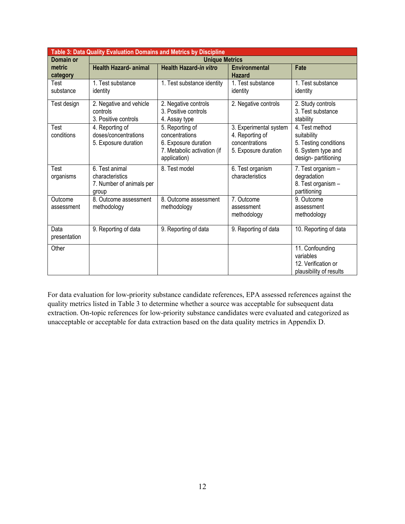<span id="page-11-0"></span>

| Table 3: Data Quality Evaluation Domains and Metrics by Discipline |                                                                        |                                                                                                          |                                                                                     |                                                                                                      |
|--------------------------------------------------------------------|------------------------------------------------------------------------|----------------------------------------------------------------------------------------------------------|-------------------------------------------------------------------------------------|------------------------------------------------------------------------------------------------------|
| Domain or                                                          |                                                                        | <b>Unique Metrics</b>                                                                                    |                                                                                     |                                                                                                      |
| metric<br>category                                                 | <b>Health Hazard- animal</b>                                           | <b>Health Hazard-in vitro</b>                                                                            | <b>Environmental</b><br><b>Hazard</b>                                               | Fate                                                                                                 |
| Test<br>substance                                                  | 1. Test substance<br>identity                                          | 1. Test substance identity                                                                               | 1. Test substance<br>identity                                                       | 1. Test substance<br>identity                                                                        |
| Test design                                                        | 2. Negative and vehicle<br>controls<br>3. Positive controls            | 2. Negative controls<br>3. Positive controls<br>4. Assay type                                            | 2. Negative controls                                                                | 2. Study controls<br>3. Test substance<br>stability                                                  |
| Test<br>conditions                                                 | 4. Reporting of<br>doses/concentrations<br>5. Exposure duration        | 5. Reporting of<br>concentrations<br>6. Exposure duration<br>7. Metabolic activation (if<br>application) | 3. Experimental system<br>4. Reporting of<br>concentrations<br>5. Exposure duration | 4. Test method<br>suitability<br>5. Testing conditions<br>6. System type and<br>design- partitioning |
| Test<br>organisms                                                  | 6. Test animal<br>characteristics<br>7. Number of animals per<br>group | 8. Test model                                                                                            | 6. Test organism<br>characteristics                                                 | 7. Test organism -<br>degradation<br>8. Test organism -<br>partitioning                              |
| Outcome<br>assessment                                              | 8. Outcome assessment<br>methodology                                   | 8. Outcome assessment<br>methodology                                                                     | 7. Outcome<br>assessment<br>methodology                                             | 9. Outcome<br>assessment<br>methodology                                                              |
| Data<br>presentation                                               | 9. Reporting of data                                                   | 9. Reporting of data                                                                                     | 9. Reporting of data                                                                | 10. Reporting of data                                                                                |
| Other                                                              |                                                                        |                                                                                                          |                                                                                     | 11. Confounding<br>variables<br>12. Verification or<br>plausibility of results                       |

For data evaluation for low-priority substance candidate references, EPA assessed references against the quality metrics listed in Table 3 to determine whether a source was acceptable for subsequent data extraction. On-topic references for low-priority substance candidates were evaluated and categorized as unacceptable or acceptable for data extraction based on the data quality metrics in Appendix D.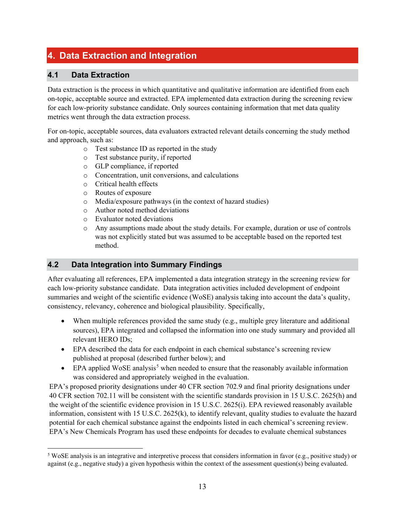## <span id="page-12-0"></span>**4. Data Extraction and Integration**

#### <span id="page-12-1"></span>**4.1 Data Extraction**

Data extraction is the process in which quantitative and qualitative information are identified from each on-topic, acceptable source and extracted. EPA implemented data extraction during the screening review for each low-priority substance candidate. Only sources containing information that met data quality metrics went through the data extraction process.

For on-topic, acceptable sources, data evaluators extracted relevant details concerning the study method and approach, such as:

- o Test substance ID as reported in the study
- o Test substance purity, if reported
- o GLP compliance, if reported
- o Concentration, unit conversions, and calculations
- Critical health effects
- o Routes of exposure
- o Media/exposure pathways (in the context of hazard studies)
- o Author noted method deviations
- o Evaluator noted deviations
- o Any assumptions made about the study details. For example, duration or use of controls was not explicitly stated but was assumed to be acceptable based on the reported test method.

#### <span id="page-12-2"></span>**4.2 Data Integration into Summary Findings**

After evaluating all references, EPA implemented a data integration strategy in the screening review for each low-priority substance candidate. Data integration activities included development of endpoint summaries and weight of the scientific evidence (WoSE) analysis taking into account the data's quality, consistency, relevancy, coherence and biological plausibility. Specifically,

- When multiple references provided the same study (e.g., multiple grey literature and additional sources), EPA integrated and collapsed the information into one study summary and provided all relevant HERO IDs;
- EPA described the data for each endpoint in each chemical substance's screening review published at proposal (described further below); and
- EPA applied WoSE analysis<sup>[5](#page-12-3)</sup> when needed to ensure that the reasonably available information was considered and appropriately weighed in the evaluation.

EPA's proposed priority designations under 40 CFR section 702.9 and final priority designations under 40 CFR section 702.11 will be consistent with the scientific standards provision in 15 U.S.C. 2625(h) and the weight of the scientific evidence provision in 15 U.S.C. 2625(i). EPA reviewed reasonably available information, consistent with 15 U.S.C. 2625(k), to identify relevant, quality studies to evaluate the hazard potential for each chemical substance against the endpoints listed in each chemical's screening review. EPA's New Chemicals Program has used these endpoints for decades to evaluate chemical substances

<span id="page-12-3"></span> <sup>5</sup> WoSE analysis is an integrative and interpretive process that considers information in favor (e.g., positive study) or against (e.g., negative study) a given hypothesis within the context of the assessment question(s) being evaluated.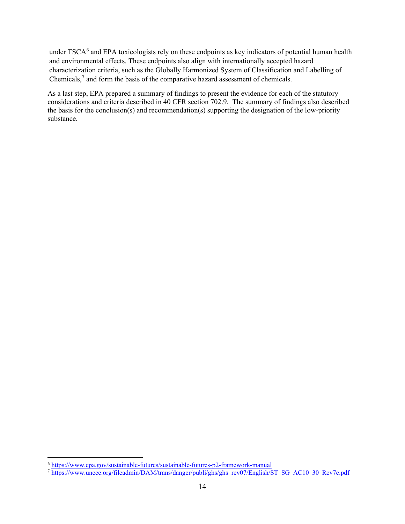under TSCA<sup>[6](#page-13-0)</sup> and EPA toxicologists rely on these endpoints as key indicators of potential human health and environmental effects. These endpoints also align with internationally accepted hazard characterization criteria, such as the Globally Harmonized System of Classification and Labelling of Chemicals,<sup>[7](#page-13-1)</sup> and form the basis of the comparative hazard assessment of chemicals.

As a last step, EPA prepared a summary of findings to present the evidence for each of the statutory considerations and criteria described in 40 CFR section 702.9. The summary of findings also described the basis for the conclusion(s) and recommendation(s) supporting the designation of the low-priority substance.

<span id="page-13-0"></span><sup>&</sup>lt;sup>6</sup> <https://www.epa.gov/sustainable-futures/sustainable-futures-p2-framework-manual>

<span id="page-13-1"></span><sup>7</sup> [https://www.unece.org/fileadmin/DAM/trans/danger/publi/ghs/ghs\\_rev07/English/ST\\_SG\\_AC10\\_30\\_Rev7e.pdf](https://www.unece.org/fileadmin/DAM/trans/danger/publi/ghs/ghs_rev07/English/ST_SG_AC10_30_Rev7e.pdf)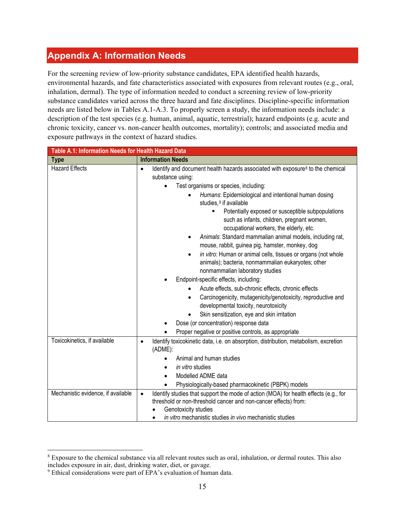## <span id="page-14-0"></span>**Appendix A: Information Needs**

For the screening review of low-priority substance candidates, EPA identified health hazards, environmental hazards, and fate characteristics associated with exposures from relevant routes (e.g., oral, inhalation, dermal). The type of information needed to conduct a screening review of low-priority substance candidates varied across the three hazard and fate disciplines. Discipline-specific information needs are listed below in Tables A.1-A.3. To properly screen a study, the information needs include: a description of the test species (e.g. human, animal, aquatic, terrestrial); hazard endpoints (e.g. acute and chronic toxicity, cancer vs. non-cancer health outcomes, mortality); controls; and associated media and exposure pathways in the context of hazard studies.

<span id="page-14-1"></span>

| Table A.1: Information Needs for Health Hazard Data |                                                                                                                                                                                                                                                                                                                                                                                                                                                                                                                                                                                                                                                                                                                                                                                                                                                                                |  |
|-----------------------------------------------------|--------------------------------------------------------------------------------------------------------------------------------------------------------------------------------------------------------------------------------------------------------------------------------------------------------------------------------------------------------------------------------------------------------------------------------------------------------------------------------------------------------------------------------------------------------------------------------------------------------------------------------------------------------------------------------------------------------------------------------------------------------------------------------------------------------------------------------------------------------------------------------|--|
| <b>Type</b>                                         | <b>Information Needs</b>                                                                                                                                                                                                                                                                                                                                                                                                                                                                                                                                                                                                                                                                                                                                                                                                                                                       |  |
| <b>Hazard Effects</b>                               | Identify and document health hazards associated with exposure <sup>8</sup> to the chemical<br>$\bullet$<br>substance using:                                                                                                                                                                                                                                                                                                                                                                                                                                                                                                                                                                                                                                                                                                                                                    |  |
|                                                     | Test organisms or species, including:<br>Humans: Epidemiological and intentional human dosing<br>studies, <sup>9</sup> if available<br>Potentially exposed or susceptible subpopulations<br>٠<br>such as infants, children, pregnant women,<br>occupational workers, the elderly, etc.<br>Animals: Standard mammalian animal models, including rat,<br>mouse, rabbit, guinea pig, hamster, monkey, dog<br>in vitro: Human or animal cells, tissues or organs (not whole<br>$\bullet$<br>animals); bacteria, nonmammalian eukaryotes; other<br>nonmammalian laboratory studies<br>Endpoint-specific effects, including:<br>Acute effects, sub-chronic effects, chronic effects<br>Carcinogenicity, mutagenicity/genotoxicity, reproductive and<br>developmental toxicity, neurotoxicity<br>Skin sensitization, eye and skin irritation<br>Dose (or concentration) response data |  |
|                                                     | Proper negative or positive controls, as appropriate                                                                                                                                                                                                                                                                                                                                                                                                                                                                                                                                                                                                                                                                                                                                                                                                                           |  |
| Toxicokinetics, if available                        | Identify toxicokinetic data, i.e. on absorption, distribution, metabolism, excretion<br>$\bullet$<br>(ADME):<br>Animal and human studies<br>in vitro studies<br>Modelled ADME data<br>Physiologically-based pharmacokinetic (PBPK) models                                                                                                                                                                                                                                                                                                                                                                                                                                                                                                                                                                                                                                      |  |
| Mechanistic evidence, if available                  | Identify studies that support the mode of action (MOA) for health effects (e.g., for<br>$\bullet$<br>threshold or non-threshold cancer and non-cancer effects) from:<br>Genotoxicity studies<br>in vitro mechanistic studies in vivo mechanistic studies                                                                                                                                                                                                                                                                                                                                                                                                                                                                                                                                                                                                                       |  |

<span id="page-14-2"></span> <sup>8</sup> Exposure to the chemical substance via all relevant routes such as oral, inhalation, or dermal routes. This also includes exposure in air, dust, drinking water, diet, or gavage.

<span id="page-14-3"></span><sup>&</sup>lt;sup>9</sup> Ethical considerations were part of EPA's evaluation of human data.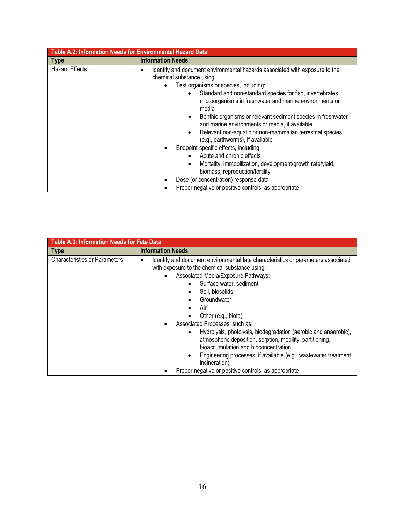<span id="page-15-0"></span>

| Table A.2: Information Needs for Environmental Hazard Data |                                                                                                                                                                                                                                                                                                                                                                                                                                                                                                                                                                                                                                                                                                                                                                                    |
|------------------------------------------------------------|------------------------------------------------------------------------------------------------------------------------------------------------------------------------------------------------------------------------------------------------------------------------------------------------------------------------------------------------------------------------------------------------------------------------------------------------------------------------------------------------------------------------------------------------------------------------------------------------------------------------------------------------------------------------------------------------------------------------------------------------------------------------------------|
| $ $ Type                                                   | <b>Information Needs</b>                                                                                                                                                                                                                                                                                                                                                                                                                                                                                                                                                                                                                                                                                                                                                           |
| <b>Hazard Effects</b>                                      | Identify and document environmental hazards associated with exposure to the<br>٠<br>chemical substance using:<br>Test organisms or species, including:<br>Standard and non-standard species for fish, invertebrates,<br>microorganisms in freshwater and marine environments or<br>media<br>Benthic organisms or relevant sediment species in freshwater<br>and marine environments or media, if available<br>Relevant non-aquatic or non-mammalian terrestrial species<br>(e.g., earthworms), if available<br>Endpoint-specific effects, including:<br>Acute and chronic effects<br>Mortality, immobilization, development/growth rate/yield,<br>biomass, reproduction/fertility<br>Dose (or concentration) response data<br>Proper negative or positive controls, as appropriate |

<span id="page-15-1"></span>

| <b>Table A.3: Information Needs for Fate Data</b> |                                                                                                                                                                                                                                                                                                                                                                                                                                                                                                                                                                                                                                           |  |
|---------------------------------------------------|-------------------------------------------------------------------------------------------------------------------------------------------------------------------------------------------------------------------------------------------------------------------------------------------------------------------------------------------------------------------------------------------------------------------------------------------------------------------------------------------------------------------------------------------------------------------------------------------------------------------------------------------|--|
| <b>Type</b>                                       | <b>Information Needs</b>                                                                                                                                                                                                                                                                                                                                                                                                                                                                                                                                                                                                                  |  |
| <b>Characteristics or Parameters</b>              | Identify and document environmental fate characteristics or parameters associated<br>with exposure to the chemical substance using:<br>Associated Media/Exposure Pathways:<br>Surface water, sediment<br>Soil, biosolids<br>Groundwater<br>Air<br>Other (e.g., biota)<br>Associated Processes, such as:<br>Hydrolysis, photolysis, biodegradation (aerobic and anaerobic),<br>$\bullet$<br>atmospheric deposition, sorption, mobility, partitioning,<br>bioaccumulation and bioconcentration<br>Engineering processes, if available (e.g., wastewater treatment,<br>incineration)<br>Proper negative or positive controls, as appropriate |  |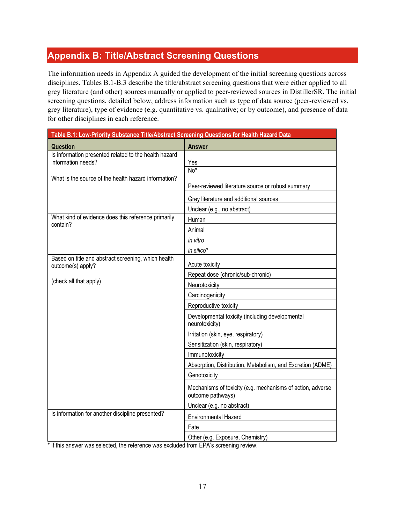## <span id="page-16-0"></span>**Appendix B: Title/Abstract Screening Questions**

The information needs in Appendix A guided the development of the initial screening questions across disciplines. Tables B.1-B.3 describe the title/abstract screening questions that were either applied to all grey literature (and other) sources manually or applied to peer-reviewed sources in DistillerSR. The initial screening questions, detailed below, address information such as type of data source (peer-reviewed vs. grey literature), type of evidence (e.g. quantitative vs. qualitative; or by outcome), and presence of data for other disciplines in each reference.

<span id="page-16-1"></span>

| Table B.1: Low-Priority Substance Title/Abstract Screening Questions for Health Hazard Data |                                                                                 |
|---------------------------------------------------------------------------------------------|---------------------------------------------------------------------------------|
| <b>Question</b>                                                                             | <b>Answer</b>                                                                   |
| Is information presented related to the health hazard<br>information needs?                 |                                                                                 |
|                                                                                             | Yes<br>$No*$                                                                    |
| What is the source of the health hazard information?                                        |                                                                                 |
|                                                                                             | Peer-reviewed literature source or robust summary                               |
|                                                                                             | Grey literature and additional sources                                          |
|                                                                                             | Unclear (e.g., no abstract)                                                     |
| What kind of evidence does this reference primarily                                         | Human                                                                           |
| contain?                                                                                    | Animal                                                                          |
|                                                                                             | in vitro                                                                        |
|                                                                                             | in silico*                                                                      |
| Based on title and abstract screening, which health<br>outcome(s) apply?                    | Acute toxicity                                                                  |
|                                                                                             | Repeat dose (chronic/sub-chronic)                                               |
| (check all that apply)                                                                      | Neurotoxicity                                                                   |
|                                                                                             | Carcinogenicity                                                                 |
|                                                                                             | Reproductive toxicity                                                           |
|                                                                                             | Developmental toxicity (including developmental<br>neurotoxicity)               |
|                                                                                             | Irritation (skin, eye, respiratory)                                             |
|                                                                                             | Sensitization (skin, respiratory)                                               |
|                                                                                             | Immunotoxicity                                                                  |
|                                                                                             | Absorption, Distribution, Metabolism, and Excretion (ADME)                      |
|                                                                                             | Genotoxicity                                                                    |
|                                                                                             | Mechanisms of toxicity (e.g. mechanisms of action, adverse<br>outcome pathways) |
|                                                                                             | Unclear (e.g. no abstract)                                                      |
| Is information for another discipline presented?                                            | <b>Environmental Hazard</b>                                                     |
|                                                                                             | Fate                                                                            |
|                                                                                             | Other (e.g. Exposure, Chemistry)                                                |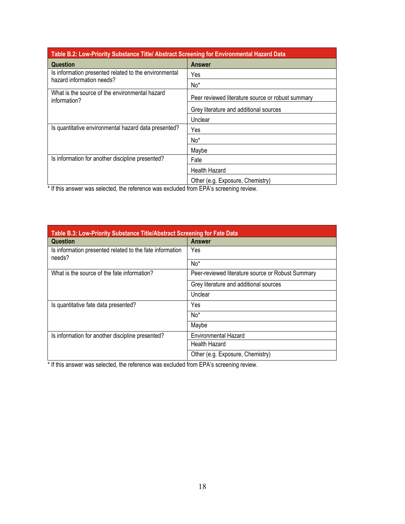<span id="page-17-0"></span>

| Table B.2: Low-Priority Substance Title/ Abstract Screening for Environmental Hazard Data |                                                   |  |
|-------------------------------------------------------------------------------------------|---------------------------------------------------|--|
| <b>Question</b>                                                                           | <b>Answer</b>                                     |  |
| Is information presented related to the environmental                                     | Yes                                               |  |
| hazard information needs?                                                                 | No*                                               |  |
| What is the source of the environmental hazard<br>information?                            | Peer reviewed literature source or robust summary |  |
|                                                                                           | Grey literature and additional sources            |  |
|                                                                                           | Unclear                                           |  |
| Is quantitative environmental hazard data presented?                                      | Yes                                               |  |
|                                                                                           | No <sup>*</sup>                                   |  |
|                                                                                           | Maybe                                             |  |
| Is information for another discipline presented?                                          | Fate                                              |  |
|                                                                                           | <b>Health Hazard</b>                              |  |
|                                                                                           | Other (e.g. Exposure, Chemistry)                  |  |
| $\mathbf{r}$ , $\mathbf{r}$ , $\mathbf{r}$ , $\mathbf{r}$ , $\mathbf{r}$ , $\mathbf{r}$   |                                                   |  |

<span id="page-17-1"></span>

| Table B.3: Low-Priority Substance Title/Abstract Screening for Fate Data |                                                   |
|--------------------------------------------------------------------------|---------------------------------------------------|
| <b>Question</b>                                                          | <b>Answer</b>                                     |
| Is information presented related to the fate information<br>needs?       | Yes                                               |
|                                                                          | No <sup>*</sup>                                   |
| What is the source of the fate information?                              | Peer-reviewed literature source or Robust Summary |
|                                                                          | Grey literature and additional sources            |
|                                                                          | Unclear                                           |
| Is quantitative fate data presented?                                     | Yes                                               |
|                                                                          | No <sup>*</sup>                                   |
|                                                                          | Maybe                                             |
| Is information for another discipline presented?                         | <b>Environmental Hazard</b>                       |
|                                                                          | Health Hazard                                     |
|                                                                          | Other (e.g. Exposure, Chemistry)                  |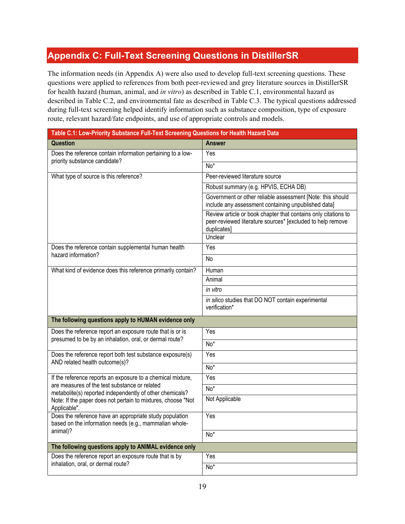## <span id="page-18-0"></span>**Appendix C: Full-Text Screening Questions in DistillerSR**

The information needs (in Appendix A) were also used to develop full-text screening questions. These questions were applied to references from both peer-reviewed and grey literature sources in DistillerSR for health hazard (human, animal, and *in vitro*) as described in Table C.1, environmental hazard as described in Table C.2, and environmental fate as described in Table C.3. The typical questions addressed during full-text screening helped identify information such as substance composition, type of exposure route, relevant hazard/fate endpoints, and use of appropriate controls and models.

<span id="page-18-1"></span>

| Table C.1: Low-Priority Substance Full-Text Screening Questions for Health Hazard Data                                                                                                    |                                                                                                                                             |  |
|-------------------------------------------------------------------------------------------------------------------------------------------------------------------------------------------|---------------------------------------------------------------------------------------------------------------------------------------------|--|
| <b>Question</b>                                                                                                                                                                           | <b>Answer</b>                                                                                                                               |  |
| Does the reference contain information pertaining to a low-<br>priority substance candidate?                                                                                              | Yes                                                                                                                                         |  |
|                                                                                                                                                                                           | $\overline{No*}$                                                                                                                            |  |
| What type of source is this reference?                                                                                                                                                    | Peer-reviewed literature source                                                                                                             |  |
|                                                                                                                                                                                           | Robust summary (e.g. HPVIS, ECHA DB)                                                                                                        |  |
|                                                                                                                                                                                           | Government or other reliable assessment [Note: this should<br>include any assessment containing unpublished data]                           |  |
|                                                                                                                                                                                           | Review article or book chapter that contains only citations to<br>peer-reviewed literature sources* [excluded to help remove<br>duplicates] |  |
|                                                                                                                                                                                           | Unclear                                                                                                                                     |  |
| Does the reference contain supplemental human health<br>hazard information?                                                                                                               | Yes                                                                                                                                         |  |
|                                                                                                                                                                                           | No                                                                                                                                          |  |
| What kind of evidence does this reference primarily contain?                                                                                                                              | Human                                                                                                                                       |  |
|                                                                                                                                                                                           | Animal                                                                                                                                      |  |
|                                                                                                                                                                                           | in vitro                                                                                                                                    |  |
|                                                                                                                                                                                           | in silico studies that DO NOT contain experimental<br>verification*                                                                         |  |
| The following questions apply to HUMAN evidence only                                                                                                                                      |                                                                                                                                             |  |
| Does the reference report an exposure route that is or is                                                                                                                                 | Yes                                                                                                                                         |  |
| presumed to be by an inhalation, oral, or dermal route?                                                                                                                                   | $No*$                                                                                                                                       |  |
| Does the reference report both test substance exposure(s)                                                                                                                                 | Yes                                                                                                                                         |  |
| AND related health outcome(s)?                                                                                                                                                            | $No*$                                                                                                                                       |  |
| If the reference reports an exposure to a chemical mixture,                                                                                                                               | Yes                                                                                                                                         |  |
| are measures of the test substance or related<br>metabolite(s) reported independently of other chemicals?<br>Note: If the paper does not pertain to mixtures, choose "Not<br>Applicable". | $\overline{No^*}$                                                                                                                           |  |
|                                                                                                                                                                                           | Not Applicable                                                                                                                              |  |
| Does the reference have an appropriate study population<br>based on the information needs (e.g., mammalian whole-<br>animal)?                                                             | Yes                                                                                                                                         |  |
|                                                                                                                                                                                           | $No*$                                                                                                                                       |  |
| The following questions apply to ANIMAL evidence only                                                                                                                                     |                                                                                                                                             |  |
| Does the reference report an exposure route that is by<br>inhalation, oral, or dermal route?                                                                                              | Yes                                                                                                                                         |  |
|                                                                                                                                                                                           | $\overline{No^*}$                                                                                                                           |  |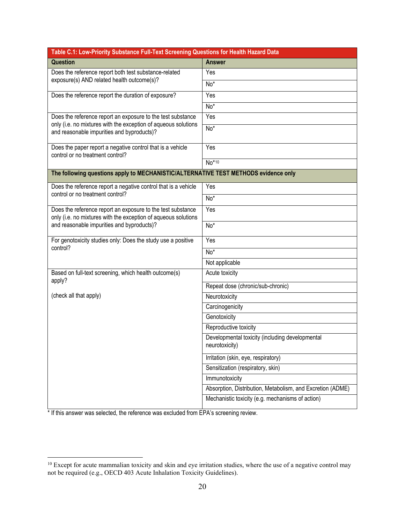| Table C.1: Low-Priority Substance Full-Text Screening Questions for Health Hazard Data                                        |                                                                   |  |
|-------------------------------------------------------------------------------------------------------------------------------|-------------------------------------------------------------------|--|
| <b>Question</b>                                                                                                               | <b>Answer</b>                                                     |  |
| Does the reference report both test substance-related<br>exposure(s) AND related health outcome(s)?                           | Yes                                                               |  |
|                                                                                                                               | No*                                                               |  |
| Does the reference report the duration of exposure?                                                                           | Yes                                                               |  |
|                                                                                                                               | No*                                                               |  |
| Does the reference report an exposure to the test substance                                                                   | Yes                                                               |  |
| only (i.e. no mixtures with the exception of aqueous solutions<br>and reasonable impurities and byproducts)?                  | $No*$                                                             |  |
| Does the paper report a negative control that is a vehicle<br>control or no treatment control?                                | Yes                                                               |  |
|                                                                                                                               | $No*10$                                                           |  |
| The following questions apply to MECHANISTIC/ALTERNATIVE TEST METHODS evidence only                                           |                                                                   |  |
| Does the reference report a negative control that is a vehicle                                                                | Yes                                                               |  |
| control or no treatment control?                                                                                              | $No*$                                                             |  |
| Does the reference report an exposure to the test substance<br>only (i.e. no mixtures with the exception of aqueous solutions | Yes                                                               |  |
| and reasonable impurities and byproducts)?                                                                                    | No*                                                               |  |
| For genotoxicity studies only: Does the study use a positive<br>control?                                                      | Yes                                                               |  |
|                                                                                                                               | No*                                                               |  |
|                                                                                                                               | Not applicable                                                    |  |
| Based on full-text screening, which health outcome(s)<br>apply?                                                               | Acute toxicity                                                    |  |
|                                                                                                                               | Repeat dose (chronic/sub-chronic)                                 |  |
| (check all that apply)                                                                                                        | Neurotoxicity                                                     |  |
|                                                                                                                               | Carcinogenicity                                                   |  |
|                                                                                                                               | Genotoxicity                                                      |  |
|                                                                                                                               | Reproductive toxicity                                             |  |
|                                                                                                                               | Developmental toxicity (including developmental<br>neurotoxicity) |  |
|                                                                                                                               | Irritation (skin, eye, respiratory)                               |  |
|                                                                                                                               | Sensitization (respiratory, skin)                                 |  |
|                                                                                                                               | Immunotoxicity                                                    |  |
|                                                                                                                               | Absorption, Distribution, Metabolism, and Excretion (ADME)        |  |
|                                                                                                                               | Mechanistic toxicity (e.g. mechanisms of action)                  |  |

<span id="page-19-0"></span><sup>&</sup>lt;sup>10</sup> Except for acute mammalian toxicity and skin and eye irritation studies, where the use of a negative control may not be required (e.g., OECD 403 Acute Inhalation Toxicity Guidelines).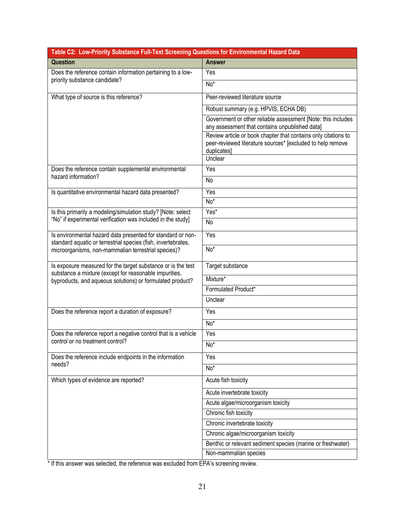<span id="page-20-0"></span>

| Table C2: Low-Priority Substance Full-Text Screening Questions for Environmental Hazard Data                                 |                                                                                                                                             |
|------------------------------------------------------------------------------------------------------------------------------|---------------------------------------------------------------------------------------------------------------------------------------------|
| Question                                                                                                                     | <b>Answer</b>                                                                                                                               |
| Does the reference contain information pertaining to a low-<br>priority substance candidate?                                 | Yes                                                                                                                                         |
|                                                                                                                              | $No*$                                                                                                                                       |
| What type of source is this reference?                                                                                       | Peer-reviewed literature source                                                                                                             |
|                                                                                                                              | Robust summary (e.g. HPVIS, ECHA DB)                                                                                                        |
|                                                                                                                              | Government or other reliable assessment [Note: this includes<br>any assessment that contains unpublished data]                              |
|                                                                                                                              | Review article or book chapter that contains only citations to<br>peer-reviewed literature sources* [excluded to help remove<br>duplicates] |
|                                                                                                                              | Unclear                                                                                                                                     |
| Does the reference contain supplemental environmental<br>hazard information?                                                 | Yes                                                                                                                                         |
|                                                                                                                              | No                                                                                                                                          |
| Is quantitative environmental hazard data presented?                                                                         | Yes                                                                                                                                         |
|                                                                                                                              | No <sup>*</sup>                                                                                                                             |
| Is this primarily a modeling/simulation study? [Note: select                                                                 | Yes <sup>*</sup>                                                                                                                            |
| "No" if experimental verification was included in the study]                                                                 | No                                                                                                                                          |
| Is environmental hazard data presented for standard or non-<br>standard aquatic or terrestrial species (fish, invertebrates, | Yes                                                                                                                                         |
| microorganisms, non-mammalian terrestrial species)?                                                                          | $No*$                                                                                                                                       |
| Is exposure measured for the target substance or is the test<br>substance a mixture (except for reasonable impurities,       | Target substance                                                                                                                            |
| byproducts, and aqueous solutions) or formulated product?                                                                    | Mixture*                                                                                                                                    |
|                                                                                                                              | Formulated Product*                                                                                                                         |
|                                                                                                                              | Unclear                                                                                                                                     |
| Does the reference report a duration of exposure?                                                                            | Yes                                                                                                                                         |
|                                                                                                                              | No*                                                                                                                                         |
| Does the reference report a negative control that is a vehicle                                                               | Yes                                                                                                                                         |
| control or no treatment control?                                                                                             | No*                                                                                                                                         |
| Does the reference include endpoints in the information                                                                      | Yes                                                                                                                                         |
| needs?                                                                                                                       | No*                                                                                                                                         |
| Which types of evidence are reported?                                                                                        | Acute fish toxicity                                                                                                                         |
|                                                                                                                              | Acute invertebrate toxicity                                                                                                                 |
|                                                                                                                              | Acute algae/microorganism toxicity                                                                                                          |
|                                                                                                                              | Chronic fish toxicity                                                                                                                       |
|                                                                                                                              | Chronic invertebrate toxicity                                                                                                               |
|                                                                                                                              | Chronic algae/microorganism toxicity                                                                                                        |
|                                                                                                                              | Benthic or relevant sediment species (marine or freshwater)                                                                                 |
|                                                                                                                              | Non-mammalian species                                                                                                                       |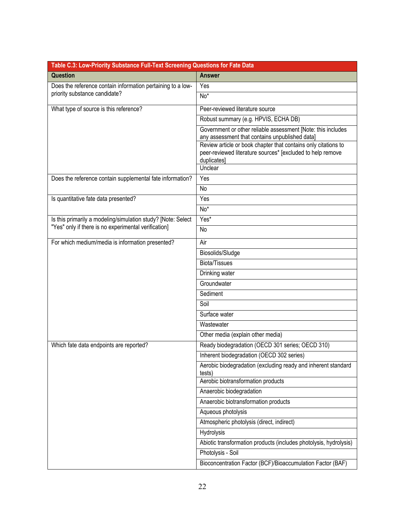<span id="page-21-0"></span>

| Table C.3: Low-Priority Substance Full-Text Screening Questions for Fate Data                |                                                                                                                                             |  |
|----------------------------------------------------------------------------------------------|---------------------------------------------------------------------------------------------------------------------------------------------|--|
| Question                                                                                     | <b>Answer</b>                                                                                                                               |  |
| Does the reference contain information pertaining to a low-<br>priority substance candidate? | Yes                                                                                                                                         |  |
|                                                                                              | No*                                                                                                                                         |  |
| What type of source is this reference?                                                       | Peer-reviewed literature source                                                                                                             |  |
|                                                                                              | Robust summary (e.g. HPVIS, ECHA DB)                                                                                                        |  |
|                                                                                              | Government or other reliable assessment [Note: this includes<br>any assessment that contains unpublished data]                              |  |
|                                                                                              | Review article or book chapter that contains only citations to<br>peer-reviewed literature sources* [excluded to help remove<br>duplicates] |  |
|                                                                                              | Unclear                                                                                                                                     |  |
| Does the reference contain supplemental fate information?                                    | Yes                                                                                                                                         |  |
|                                                                                              | No                                                                                                                                          |  |
| Is quantitative fate data presented?                                                         | Yes                                                                                                                                         |  |
|                                                                                              | No*                                                                                                                                         |  |
| Is this primarily a modeling/simulation study? [Note: Select                                 | $Yes^*$                                                                                                                                     |  |
| "Yes" only if there is no experimental verification]                                         | No                                                                                                                                          |  |
| For which medium/media is information presented?                                             | Air                                                                                                                                         |  |
|                                                                                              | Biosolids/Sludge                                                                                                                            |  |
|                                                                                              | <b>Biota/Tissues</b>                                                                                                                        |  |
|                                                                                              | Drinking water                                                                                                                              |  |
|                                                                                              | Groundwater                                                                                                                                 |  |
|                                                                                              | Sediment                                                                                                                                    |  |
|                                                                                              | Soil                                                                                                                                        |  |
|                                                                                              | Surface water                                                                                                                               |  |
|                                                                                              | Wastewater                                                                                                                                  |  |
|                                                                                              | Other media (explain other media)                                                                                                           |  |
| Which fate data endpoints are reported?                                                      | Ready biodegradation (OECD 301 series; OECD 310)                                                                                            |  |
|                                                                                              | Inherent biodegradation (OECD 302 series)                                                                                                   |  |
|                                                                                              | Aerobic biodegradation (excluding ready and inherent standard<br>tests)                                                                     |  |
|                                                                                              | Aerobic biotransformation products                                                                                                          |  |
|                                                                                              | Anaerobic biodegradation                                                                                                                    |  |
|                                                                                              | Anaerobic biotransformation products                                                                                                        |  |
|                                                                                              | Aqueous photolysis                                                                                                                          |  |
|                                                                                              | Atmospheric photolysis (direct, indirect)                                                                                                   |  |
|                                                                                              | Hydrolysis                                                                                                                                  |  |
|                                                                                              | Abiotic transformation products (includes photolysis, hydrolysis)                                                                           |  |
|                                                                                              | Photolysis - Soil                                                                                                                           |  |
|                                                                                              | Bioconcentration Factor (BCF)/Bioaccumulation Factor (BAF)                                                                                  |  |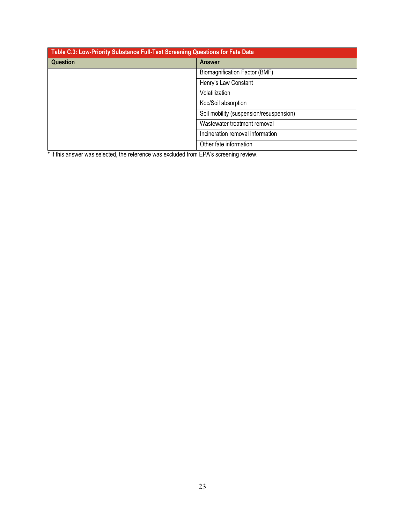| Table C.3: Low-Priority Substance Full-Text Screening Questions for Fate Data |                                         |
|-------------------------------------------------------------------------------|-----------------------------------------|
| <b>Question</b>                                                               | <b>Answer</b>                           |
|                                                                               | Biomagnification Factor (BMF)           |
|                                                                               | Henry's Law Constant                    |
|                                                                               | Volatilization                          |
|                                                                               | Koc/Soil absorption                     |
|                                                                               | Soil mobility (suspension/resuspension) |
|                                                                               | Wastewater treatment removal            |
|                                                                               | Incineration removal information        |
|                                                                               | Other fate information                  |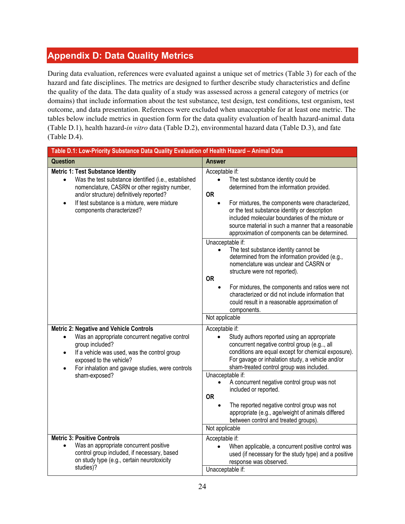## <span id="page-23-0"></span>**Appendix D: Data Quality Metrics**

During data evaluation, references were evaluated against a unique set of metrics (Table 3) for each of the hazard and fate disciplines. The metrics are designed to further describe study characteristics and define the quality of the data. The data quality of a study was assessed across a general category of metrics (or domains) that include information about the test substance, test design, test conditions, test organism, test outcome, and data presentation. References were excluded when unacceptable for at least one metric. The tables below include metrics in question form for the data quality evaluation of health hazard-animal data (Table D.1), health hazard-*in vitro* data (Table D.2), environmental hazard data (Table D.3), and fate (Table D.4).

<span id="page-23-1"></span>

| Table D.1: Low-Priority Substance Data Quality Evaluation of Health Hazard - Animal Data                                                                                                                                                                                                             |                                                                                                                                                                                                                                                                                                                                                                                                                                                                                                                                                                                  |
|------------------------------------------------------------------------------------------------------------------------------------------------------------------------------------------------------------------------------------------------------------------------------------------------------|----------------------------------------------------------------------------------------------------------------------------------------------------------------------------------------------------------------------------------------------------------------------------------------------------------------------------------------------------------------------------------------------------------------------------------------------------------------------------------------------------------------------------------------------------------------------------------|
| Question                                                                                                                                                                                                                                                                                             | <b>Answer</b>                                                                                                                                                                                                                                                                                                                                                                                                                                                                                                                                                                    |
| <b>Metric 1: Test Substance Identity</b><br>Was the test substance identified (i.e., established<br>$\bullet$<br>nomenclature, CASRN or other registry number,<br>and/or structure) definitively reported?<br>If test substance is a mixture, were mixture<br>$\bullet$<br>components characterized? | Acceptable if:<br>$\bullet$<br>The test substance identity could be<br>determined from the information provided.<br><b>OR</b><br>For mixtures, the components were characterized,<br>$\bullet$<br>or the test substance identity or description<br>included molecular boundaries of the mixture or<br>source material in such a manner that a reasonable<br>approximation of components can be determined.<br>Unacceptable if:<br>The test substance identity cannot be<br>$\bullet$<br>determined from the information provided (e.g.,<br>nomenclature was unclear and CASRN or |
|                                                                                                                                                                                                                                                                                                      | structure were not reported).<br><b>OR</b><br>For mixtures, the components and ratios were not<br>$\bullet$<br>characterized or did not include information that<br>could result in a reasonable approximation of<br>components.<br>Not applicable                                                                                                                                                                                                                                                                                                                               |
| <b>Metric 2: Negative and Vehicle Controls</b><br>Was an appropriate concurrent negative control<br>$\bullet$<br>group included?<br>If a vehicle was used, was the control group<br>$\bullet$<br>exposed to the vehicle?<br>For inhalation and gavage studies, were controls<br>$\bullet$            | Acceptable if:<br>$\bullet$<br>Study authors reported using an appropriate<br>concurrent negative control group (e.g, all<br>conditions are equal except for chemical exposure).<br>For gavage or inhalation study, a vehicle and/or<br>sham-treated control group was included.<br>Unacceptable if:                                                                                                                                                                                                                                                                             |
| sham-exposed?                                                                                                                                                                                                                                                                                        | A concurrent negative control group was not<br>included or reported.<br><b>OR</b><br>The reported negative control group was not<br>appropriate (e.g., age/weight of animals differed<br>between control and treated groups).<br>Not applicable                                                                                                                                                                                                                                                                                                                                  |
| <b>Metric 3: Positive Controls</b><br>Was an appropriate concurrent positive<br>control group included, if necessary, based<br>on study type (e.g., certain neurotoxicity<br>studies)?                                                                                                               | Acceptable if:<br>When applicable, a concurrent positive control was<br>used (if necessary for the study type) and a positive<br>response was observed.<br>Unacceptable if:                                                                                                                                                                                                                                                                                                                                                                                                      |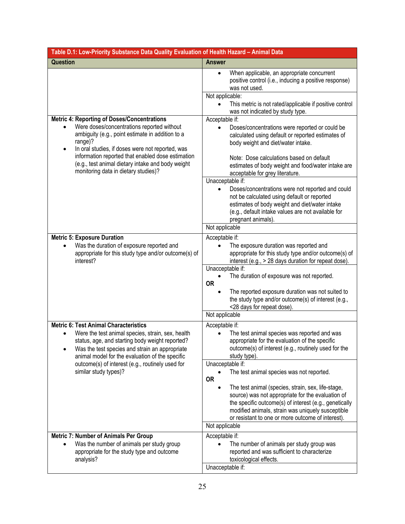| Table D.1: Low-Priority Substance Data Quality Evaluation of Health Hazard - Animal Data                                                                                                                                                                                                                                                   |                                                                                                                                                                                                                                                                                          |  |
|--------------------------------------------------------------------------------------------------------------------------------------------------------------------------------------------------------------------------------------------------------------------------------------------------------------------------------------------|------------------------------------------------------------------------------------------------------------------------------------------------------------------------------------------------------------------------------------------------------------------------------------------|--|
| Question                                                                                                                                                                                                                                                                                                                                   | <b>Answer</b>                                                                                                                                                                                                                                                                            |  |
|                                                                                                                                                                                                                                                                                                                                            | When applicable, an appropriate concurrent<br>$\bullet$<br>positive control (i.e., inducing a positive response)<br>was not used.<br>Not applicable:<br>This metric is not rated/applicable if positive control                                                                          |  |
|                                                                                                                                                                                                                                                                                                                                            | was not indicated by study type.                                                                                                                                                                                                                                                         |  |
| <b>Metric 4: Reporting of Doses/Concentrations</b><br>Were doses/concentrations reported without<br>ambiguity (e.g., point estimate in addition to a<br>range)?<br>In oral studies, if doses were not reported, was<br>$\bullet$<br>information reported that enabled dose estimation<br>(e.g., test animal dietary intake and body weight | Acceptable if:<br>Doses/concentrations were reported or could be<br>$\bullet$<br>calculated using default or reported estimates of<br>body weight and diet/water intake.<br>Note: Dose calculations based on default<br>estimates of body weight and food/water intake are               |  |
| monitoring data in dietary studies)?                                                                                                                                                                                                                                                                                                       | acceptable for grey literature.<br>Unacceptable if:                                                                                                                                                                                                                                      |  |
|                                                                                                                                                                                                                                                                                                                                            | Doses/concentrations were not reported and could<br>$\bullet$<br>not be calculated using default or reported<br>estimates of body weight and diet/water intake<br>(e.g., default intake values are not available for<br>pregnant animals).                                               |  |
|                                                                                                                                                                                                                                                                                                                                            | Not applicable                                                                                                                                                                                                                                                                           |  |
| <b>Metric 5: Exposure Duration</b><br>Was the duration of exposure reported and<br>appropriate for this study type and/or outcome(s) of<br>interest?                                                                                                                                                                                       | Acceptable if:<br>The exposure duration was reported and<br>appropriate for this study type and/or outcome(s) of<br>interest (e.g., > 28 days duration for repeat dose).                                                                                                                 |  |
|                                                                                                                                                                                                                                                                                                                                            | Unacceptable if:<br>The duration of exposure was not reported.<br><b>OR</b><br>The reported exposure duration was not suited to<br>$\bullet$<br>the study type and/or outcome(s) of interest (e.g.,<br><28 days for repeat dose).                                                        |  |
|                                                                                                                                                                                                                                                                                                                                            | Not applicable                                                                                                                                                                                                                                                                           |  |
| <b>Metric 6: Test Animal Characteristics</b><br>Were the test animal species, strain, sex, health<br>status, age, and starting body weight reported?<br>Was the test species and strain an appropriate<br>animal model for the evaluation of the specific<br>outcome(s) of interest (e.g., routinely used for<br>similar study types)?     | Acceptable if:<br>The test animal species was reported and was<br>appropriate for the evaluation of the specific<br>outcome(s) of interest (e.g., routinely used for the<br>study type).                                                                                                 |  |
|                                                                                                                                                                                                                                                                                                                                            | Unacceptable if:<br>The test animal species was not reported.<br><b>OR</b>                                                                                                                                                                                                               |  |
|                                                                                                                                                                                                                                                                                                                                            | The test animal (species, strain, sex, life-stage,<br>$\bullet$<br>source) was not appropriate for the evaluation of<br>the specific outcome(s) of interest (e.g., genetically<br>modified animals, strain was uniquely susceptible<br>or resistant to one or more outcome of interest). |  |
|                                                                                                                                                                                                                                                                                                                                            | Not applicable                                                                                                                                                                                                                                                                           |  |
| <b>Metric 7: Number of Animals Per Group</b><br>Was the number of animals per study group<br>appropriate for the study type and outcome<br>analysis?                                                                                                                                                                                       | Acceptable if:<br>The number of animals per study group was<br>reported and was sufficient to characterize<br>toxicological effects.<br>Unacceptable if:                                                                                                                                 |  |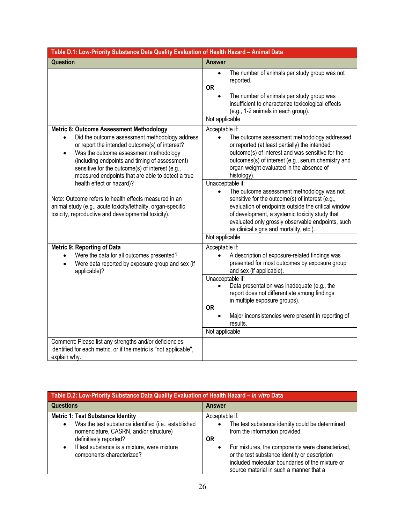| Table D.1: Low-Priority Substance Data Quality Evaluation of Health Hazard - Animal Data                                                                                                                                                                                                                                                                                                                                                                                                                                         |                                                                                                                                                                                                                                                                                                                                                                                                                                                                                            |
|----------------------------------------------------------------------------------------------------------------------------------------------------------------------------------------------------------------------------------------------------------------------------------------------------------------------------------------------------------------------------------------------------------------------------------------------------------------------------------------------------------------------------------|--------------------------------------------------------------------------------------------------------------------------------------------------------------------------------------------------------------------------------------------------------------------------------------------------------------------------------------------------------------------------------------------------------------------------------------------------------------------------------------------|
| Question                                                                                                                                                                                                                                                                                                                                                                                                                                                                                                                         | <b>Answer</b>                                                                                                                                                                                                                                                                                                                                                                                                                                                                              |
|                                                                                                                                                                                                                                                                                                                                                                                                                                                                                                                                  | The number of animals per study group was not<br>$\bullet$<br>reported.<br><b>OR</b><br>The number of animals per study group was<br>$\bullet$<br>insufficient to characterize toxicological effects<br>(e.g., 1-2 animals in each group).<br>Not applicable                                                                                                                                                                                                                               |
| Metric 8: Outcome Assessment Methodology<br>Did the outcome assessment methodology address<br>$\bullet$<br>or report the intended outcome(s) of interest?<br>Was the outcome assessment methodology<br>$\bullet$<br>(including endpoints and timing of assessment)<br>sensitive for the outcome(s) of interest (e.g.,<br>measured endpoints that are able to detect a true<br>health effect or hazard)?<br>Note: Outcome refers to health effects measured in an<br>animal study (e.g., acute toxicity/lethality, organ-specific | Acceptable if:<br>The outcome assessment methodology addressed<br>$\bullet$<br>or reported (at least partially) the intended<br>outcome(s) of interest and was sensitive for the<br>outcomes(s) of interest (e.g., serum chemistry and<br>organ weight evaluated in the absence of<br>histology).<br>Unacceptable if:<br>The outcome assessment methodology was not<br>$\bullet$<br>sensitive for the outcome(s) of interest (e.g.,<br>evaluation of endpoints outside the critical window |
| toxicity, reproductive and developmental toxicity).                                                                                                                                                                                                                                                                                                                                                                                                                                                                              | of development, a systemic toxicity study that<br>evaluated only grossly observable endpoints, such<br>as clinical signs and mortality, etc.).<br>Not applicable                                                                                                                                                                                                                                                                                                                           |
| Metric 9: Reporting of Data                                                                                                                                                                                                                                                                                                                                                                                                                                                                                                      | Acceptable if:                                                                                                                                                                                                                                                                                                                                                                                                                                                                             |
| Were the data for all outcomes presented?<br>$\bullet$<br>Were data reported by exposure group and sex (if<br>$\bullet$<br>applicable)?                                                                                                                                                                                                                                                                                                                                                                                          | A description of exposure-related findings was<br>$\bullet$<br>presented for most outcomes by exposure group<br>and sex (if applicable).                                                                                                                                                                                                                                                                                                                                                   |
|                                                                                                                                                                                                                                                                                                                                                                                                                                                                                                                                  | Unacceptable if:<br>Data presentation was inadequate (e.g., the<br>report does not differentiate among findings<br>in multiple exposure groups).<br><b>OR</b><br>Major inconsistencies were present in reporting of<br>results.<br>Not applicable                                                                                                                                                                                                                                          |
| Comment: Please list any strengths and/or deficiencies<br>identified for each metric, or if the metric is "not applicable",<br>explain why.                                                                                                                                                                                                                                                                                                                                                                                      |                                                                                                                                                                                                                                                                                                                                                                                                                                                                                            |

<span id="page-25-0"></span>

| Table D.2: Low-Priority Substance Data Quality Evaluation of Health Hazard - in vitro Data                                                                                                                                                        |                                                                                                                                                                                                                                                                                                                           |
|---------------------------------------------------------------------------------------------------------------------------------------------------------------------------------------------------------------------------------------------------|---------------------------------------------------------------------------------------------------------------------------------------------------------------------------------------------------------------------------------------------------------------------------------------------------------------------------|
| <b>Questions</b>                                                                                                                                                                                                                                  | <b>Answer</b>                                                                                                                                                                                                                                                                                                             |
| <b>Metric 1: Test Substance Identity</b><br>Was the test substance identified (i.e., established<br>nomenclature, CASRN, and/or structure)<br>definitively reported?<br>If test substance is a mixture, were mixture<br>components characterized? | Acceptable if:<br>The test substance identity could be determined<br>$\bullet$<br>from the information provided.<br>0R<br>For mixtures, the components were characterized,<br>or the test substance identity or description<br>included molecular boundaries of the mixture or<br>source material in such a manner that a |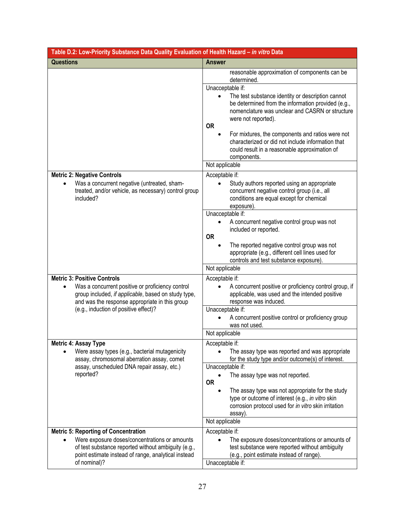| Table D.2: Low-Priority Substance Data Quality Evaluation of Health Hazard - in vitro Data                                                                                                                                 |                                                                                                                                                                                                                    |  |
|----------------------------------------------------------------------------------------------------------------------------------------------------------------------------------------------------------------------------|--------------------------------------------------------------------------------------------------------------------------------------------------------------------------------------------------------------------|--|
| <b>Questions</b>                                                                                                                                                                                                           | <b>Answer</b>                                                                                                                                                                                                      |  |
|                                                                                                                                                                                                                            | reasonable approximation of components can be<br>determined.                                                                                                                                                       |  |
|                                                                                                                                                                                                                            | Unacceptable if:<br>The test substance identity or description cannot<br>$\bullet$<br>be determined from the information provided (e.g.,<br>nomenclature was unclear and CASRN or structure<br>were not reported). |  |
|                                                                                                                                                                                                                            | <b>OR</b><br>For mixtures, the components and ratios were not<br>characterized or did not include information that<br>could result in a reasonable approximation of<br>components.                                 |  |
|                                                                                                                                                                                                                            | Not applicable                                                                                                                                                                                                     |  |
| <b>Metric 2: Negative Controls</b><br>Was a concurrent negative (untreated, sham-<br>treated, and/or vehicle, as necessary) control group<br>included?                                                                     | Acceptable if:<br>Study authors reported using an appropriate<br>concurrent negative control group (i.e., all<br>conditions are equal except for chemical<br>exposure).                                            |  |
|                                                                                                                                                                                                                            | Unacceptable if:<br>A concurrent negative control group was not<br>included or reported.<br><b>OR</b><br>The reported negative control group was not                                                               |  |
|                                                                                                                                                                                                                            | appropriate (e.g., different cell lines used for<br>controls and test substance exposure).<br>Not applicable                                                                                                       |  |
| <b>Metric 3: Positive Controls</b>                                                                                                                                                                                         |                                                                                                                                                                                                                    |  |
| Was a concurrent positive or proficiency control<br>group included, if applicable, based on study type,<br>and was the response appropriate in this group                                                                  | Acceptable if:<br>A concurrent positive or proficiency control group, if<br>applicable, was used and the intended positive<br>response was induced.                                                                |  |
| (e.g., induction of positive effect)?                                                                                                                                                                                      | Unacceptable if:<br>A concurrent positive control or proficiency group<br>was not used.<br>Not applicable                                                                                                          |  |
| <b>Metric 4: Assay Type</b>                                                                                                                                                                                                | Acceptable if:                                                                                                                                                                                                     |  |
| Were assay types (e.g., bacterial mutagenicity<br>assay, chromosomal aberration assay, comet                                                                                                                               | The assay type was reported and was appropriate<br>$\bullet$<br>for the study type and/or outcome(s) of interest.                                                                                                  |  |
| assay, unscheduled DNA repair assay, etc.)<br>reported?                                                                                                                                                                    | Unacceptable if:<br>The assay type was not reported.<br><b>OR</b>                                                                                                                                                  |  |
|                                                                                                                                                                                                                            | The assay type was not appropriate for the study<br>type or outcome of interest (e.g., in vitro skin<br>corrosion protocol used for in vitro skin irritation<br>assay).                                            |  |
|                                                                                                                                                                                                                            | Not applicable                                                                                                                                                                                                     |  |
| <b>Metric 5: Reporting of Concentration</b><br>Were exposure doses/concentrations or amounts<br>of test substance reported without ambiguity (e.g.,<br>point estimate instead of range, analytical instead<br>of nominal)? | Acceptable if:<br>The exposure doses/concentrations or amounts of<br>test substance were reported without ambiguity<br>(e.g., point estimate instead of range).<br>Unacceptable if:                                |  |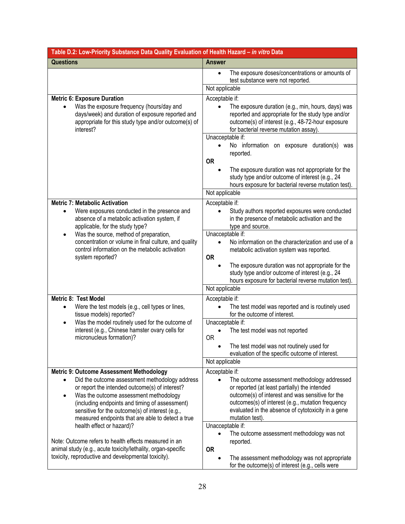| Table D.2: Low-Priority Substance Data Quality Evaluation of Health Hazard - in vitro Data                                                                                                                                                                                                                                                                           |                                                                                                                                                                                                                                                                                                   |  |
|----------------------------------------------------------------------------------------------------------------------------------------------------------------------------------------------------------------------------------------------------------------------------------------------------------------------------------------------------------------------|---------------------------------------------------------------------------------------------------------------------------------------------------------------------------------------------------------------------------------------------------------------------------------------------------|--|
| <b>Questions</b>                                                                                                                                                                                                                                                                                                                                                     | <b>Answer</b>                                                                                                                                                                                                                                                                                     |  |
|                                                                                                                                                                                                                                                                                                                                                                      | The exposure doses/concentrations or amounts of<br>$\bullet$<br>test substance were not reported.                                                                                                                                                                                                 |  |
|                                                                                                                                                                                                                                                                                                                                                                      | Not applicable                                                                                                                                                                                                                                                                                    |  |
| <b>Metric 6: Exposure Duration</b>                                                                                                                                                                                                                                                                                                                                   | Acceptable if:                                                                                                                                                                                                                                                                                    |  |
| Was the exposure frequency (hours/day and<br>days/week) and duration of exposure reported and<br>appropriate for this study type and/or outcome(s) of<br>interest?                                                                                                                                                                                                   | The exposure duration (e.g., min, hours, days) was<br>reported and appropriate for the study type and/or<br>outcome(s) of interest (e.g., 48-72-hour exposure<br>for bacterial reverse mutation assay).<br>Unacceptable if:                                                                       |  |
|                                                                                                                                                                                                                                                                                                                                                                      | No information on exposure duration(s) was<br>reported.                                                                                                                                                                                                                                           |  |
|                                                                                                                                                                                                                                                                                                                                                                      | <b>OR</b><br>The exposure duration was not appropriate for the<br>study type and/or outcome of interest (e.g., 24<br>hours exposure for bacterial reverse mutation test).                                                                                                                         |  |
|                                                                                                                                                                                                                                                                                                                                                                      | Not applicable                                                                                                                                                                                                                                                                                    |  |
| <b>Metric 7: Metabolic Activation</b>                                                                                                                                                                                                                                                                                                                                | Acceptable if:                                                                                                                                                                                                                                                                                    |  |
| Were exposures conducted in the presence and<br>$\bullet$<br>absence of a metabolic activation system, if<br>applicable, for the study type?                                                                                                                                                                                                                         | Study authors reported exposures were conducted<br>in the presence of metabolic activation and the<br>type and source.                                                                                                                                                                            |  |
| Was the source, method of preparation,<br>٠                                                                                                                                                                                                                                                                                                                          | Unacceptable if:                                                                                                                                                                                                                                                                                  |  |
| concentration or volume in final culture, and quality<br>control information on the metabolic activation<br>system reported?                                                                                                                                                                                                                                         | No information on the characterization and use of a<br>$\bullet$<br>metabolic activation system was reported.<br><b>OR</b>                                                                                                                                                                        |  |
|                                                                                                                                                                                                                                                                                                                                                                      | The exposure duration was not appropriate for the<br>study type and/or outcome of interest (e.g., 24<br>hours exposure for bacterial reverse mutation test).                                                                                                                                      |  |
|                                                                                                                                                                                                                                                                                                                                                                      | Not applicable                                                                                                                                                                                                                                                                                    |  |
| <b>Metric 8: Test Model</b><br>Were the test models (e.g., cell types or lines,<br>$\bullet$<br>tissue models) reported?                                                                                                                                                                                                                                             | Acceptable if:<br>The test model was reported and is routinely used<br>$\bullet$<br>for the outcome of interest.                                                                                                                                                                                  |  |
| Was the model routinely used for the outcome of<br>$\bullet$                                                                                                                                                                                                                                                                                                         | Unacceptable if:                                                                                                                                                                                                                                                                                  |  |
| interest (e.g., Chinese hamster ovary cells for<br>micronucleus formation)?                                                                                                                                                                                                                                                                                          | The test model was not reported<br><b>OR</b>                                                                                                                                                                                                                                                      |  |
|                                                                                                                                                                                                                                                                                                                                                                      | The test model was not routinely used for<br>evaluation of the specific outcome of interest.                                                                                                                                                                                                      |  |
|                                                                                                                                                                                                                                                                                                                                                                      | Not applicable                                                                                                                                                                                                                                                                                    |  |
| <b>Metric 9: Outcome Assessment Methodology</b><br>Did the outcome assessment methodology address<br>or report the intended outcome(s) of interest?<br>Was the outcome assessment methodology<br>$\bullet$<br>(including endpoints and timing of assessment)<br>sensitive for the outcome(s) of interest (e.g.,<br>measured endpoints that are able to detect a true | Acceptable if:<br>The outcome assessment methodology addressed<br>or reported (at least partially) the intended<br>outcome(s) of interest and was sensitive for the<br>outcomes(s) of interest (e.g., mutation frequency<br>evaluated in the absence of cytotoxicity in a gene<br>mutation test). |  |
| health effect or hazard)?<br>Note: Outcome refers to health effects measured in an<br>animal study (e.g., acute toxicity/lethality, organ-specific<br>toxicity, reproductive and developmental toxicity).                                                                                                                                                            | Unacceptable if:<br>The outcome assessment methodology was not<br>$\bullet$<br>reported.<br><b>OR</b><br>The assessment methodology was not appropriate<br>$\bullet$<br>for the outcome(s) of interest (e.g., cells were                                                                          |  |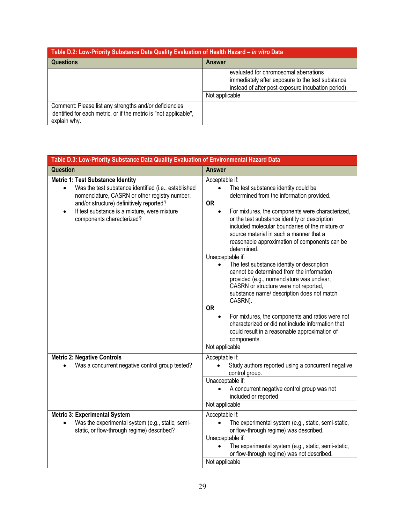| Table D.2: Low-Priority Substance Data Quality Evaluation of Health Hazard - in vitro Data                                                  |                                                                                                                                                                   |
|---------------------------------------------------------------------------------------------------------------------------------------------|-------------------------------------------------------------------------------------------------------------------------------------------------------------------|
| <b>Questions</b>                                                                                                                            | <b>Answer</b>                                                                                                                                                     |
|                                                                                                                                             | evaluated for chromosomal aberrations<br>immediately after exposure to the test substance<br>instead of after post-exposure incubation period).<br>Not applicable |
| Comment: Please list any strengths and/or deficiencies<br>identified for each metric, or if the metric is "not applicable",<br>explain why. |                                                                                                                                                                   |

<span id="page-28-0"></span>

| Table D.3: Low-Priority Substance Data Quality Evaluation of Environmental Hazard Data                                                                                                                                                                                                               |                                                                                                                                                                                                                                                                                                                                                                                                                                                               |
|------------------------------------------------------------------------------------------------------------------------------------------------------------------------------------------------------------------------------------------------------------------------------------------------------|---------------------------------------------------------------------------------------------------------------------------------------------------------------------------------------------------------------------------------------------------------------------------------------------------------------------------------------------------------------------------------------------------------------------------------------------------------------|
| <b>Question</b>                                                                                                                                                                                                                                                                                      | <b>Answer</b>                                                                                                                                                                                                                                                                                                                                                                                                                                                 |
| <b>Metric 1: Test Substance Identity</b><br>Was the test substance identified (i.e., established<br>$\bullet$<br>nomenclature, CASRN or other registry number,<br>and/or structure) definitively reported?<br>If test substance is a mixture, were mixture<br>$\bullet$<br>components characterized? | Acceptable if:<br>The test substance identity could be<br>$\bullet$<br>determined from the information provided.<br><b>OR</b><br>For mixtures, the components were characterized,<br>$\bullet$<br>or the test substance identity or description<br>included molecular boundaries of the mixture or<br>source material in such a manner that a<br>reasonable approximation of components can be<br>determined.                                                 |
|                                                                                                                                                                                                                                                                                                      | Unacceptable if:<br>The test substance identity or description<br>cannot be determined from the information<br>provided (e.g., nomenclature was unclear,<br>CASRN or structure were not reported,<br>substance name/ description does not match<br>CASRN).<br><b>OR</b><br>For mixtures, the components and ratios were not<br>$\bullet$<br>characterized or did not include information that<br>could result in a reasonable approximation of<br>components. |
|                                                                                                                                                                                                                                                                                                      | Not applicable                                                                                                                                                                                                                                                                                                                                                                                                                                                |
| <b>Metric 2: Negative Controls</b><br>Was a concurrent negative control group tested?                                                                                                                                                                                                                | Acceptable if:<br>Study authors reported using a concurrent negative<br>control group.                                                                                                                                                                                                                                                                                                                                                                        |
|                                                                                                                                                                                                                                                                                                      | Unacceptable if:<br>A concurrent negative control group was not<br>included or reported                                                                                                                                                                                                                                                                                                                                                                       |
|                                                                                                                                                                                                                                                                                                      | Not applicable                                                                                                                                                                                                                                                                                                                                                                                                                                                |
| <b>Metric 3: Experimental System</b><br>Was the experimental system (e.g., static, semi-<br>static, or flow-through regime) described?                                                                                                                                                               | Acceptable if:<br>The experimental system (e.g., static, semi-static,<br>or flow-through regime) was described.                                                                                                                                                                                                                                                                                                                                               |
|                                                                                                                                                                                                                                                                                                      | Unacceptable if:<br>The experimental system (e.g., static, semi-static,<br>$\bullet$<br>or flow-through regime) was not described.<br>Not applicable                                                                                                                                                                                                                                                                                                          |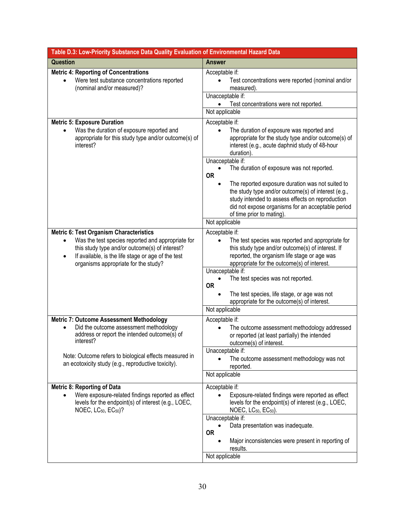| Table D.3: Low-Priority Substance Data Quality Evaluation of Environmental Hazard Data                                                                                                                         |                                                                                                                                                                                                                                                                                                                                                |
|----------------------------------------------------------------------------------------------------------------------------------------------------------------------------------------------------------------|------------------------------------------------------------------------------------------------------------------------------------------------------------------------------------------------------------------------------------------------------------------------------------------------------------------------------------------------|
| <b>Question</b>                                                                                                                                                                                                | <b>Answer</b>                                                                                                                                                                                                                                                                                                                                  |
| <b>Metric 4: Reporting of Concentrations</b><br>Were test substance concentrations reported<br>(nominal and/or measured)?                                                                                      | Acceptable if:<br>Test concentrations were reported (nominal and/or<br>measured).<br>Unacceptable if:<br>Test concentrations were not reported.<br>Not applicable                                                                                                                                                                              |
| <b>Metric 5: Exposure Duration</b><br>Was the duration of exposure reported and<br>appropriate for this study type and/or outcome(s) of<br>interest?                                                           | Acceptable if:<br>The duration of exposure was reported and<br>$\bullet$<br>appropriate for the study type and/or outcome(s) of<br>interest (e.g., acute daphnid study of 48-hour<br>duration).                                                                                                                                                |
|                                                                                                                                                                                                                | Unacceptable if:<br>The duration of exposure was not reported.<br><b>OR</b><br>The reported exposure duration was not suited to<br>the study type and/or outcome(s) of interest (e.g.,<br>study intended to assess effects on reproduction<br>did not expose organisms for an acceptable period<br>of time prior to mating).<br>Not applicable |
| <b>Metric 6: Test Organism Characteristics</b>                                                                                                                                                                 | Acceptable if:                                                                                                                                                                                                                                                                                                                                 |
| Was the test species reported and appropriate for<br>this study type and/or outcome(s) of interest?<br>If available, is the life stage or age of the test<br>$\bullet$<br>organisms appropriate for the study? | The test species was reported and appropriate for<br>this study type and/or outcome(s) of interest. If<br>reported, the organism life stage or age was<br>appropriate for the outcome(s) of interest.                                                                                                                                          |
|                                                                                                                                                                                                                | Unacceptable if:<br>The test species was not reported.<br><b>OR</b><br>The test species, life stage, or age was not<br>appropriate for the outcome(s) of interest.<br>Not applicable                                                                                                                                                           |
| <b>Metric 7: Outcome Assessment Methodology</b>                                                                                                                                                                | Acceptable if:                                                                                                                                                                                                                                                                                                                                 |
| Did the outcome assessment methodology<br>address or report the intended outcome(s) of<br>interest?                                                                                                            | The outcome assessment methodology addressed<br>$\bullet$<br>or reported (at least partially) the intended<br>outcome(s) of interest.                                                                                                                                                                                                          |
| Note: Outcome refers to biological effects measured in<br>an ecotoxicity study (e.g., reproductive toxicity).                                                                                                  | Unacceptable if:<br>The outcome assessment methodology was not<br>reported.                                                                                                                                                                                                                                                                    |
|                                                                                                                                                                                                                | Not applicable                                                                                                                                                                                                                                                                                                                                 |
| <b>Metric 8: Reporting of Data</b><br>Were exposure-related findings reported as effect<br>$\bullet$<br>levels for the endpoint(s) of interest (e.g., LOEC,<br>NOEC, $LC_{50}$ , $EC_{50}$ )?                  | Acceptable if:<br>Exposure-related findings were reported as effect<br>levels for the endpoint(s) of interest (e.g., LOEC,<br>NOEC, $LC_{50}$ , $EC_{50}$ ).                                                                                                                                                                                   |
|                                                                                                                                                                                                                | Unacceptable if:<br>Data presentation was inadequate.<br><b>OR</b><br>Major inconsistencies were present in reporting of<br>results.<br>Not applicable                                                                                                                                                                                         |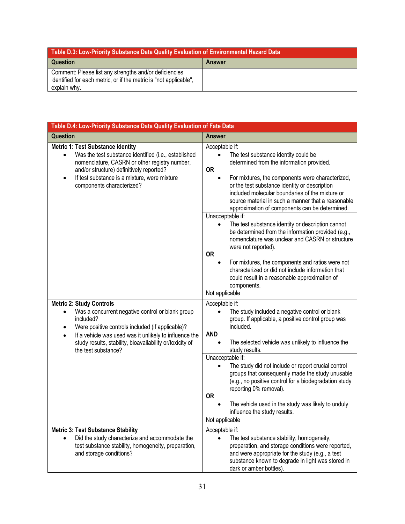| Table D.3: Low-Priority Substance Data Quality Evaluation of Environmental Hazard Data                                                      |               |
|---------------------------------------------------------------------------------------------------------------------------------------------|---------------|
| Question                                                                                                                                    | <b>Answer</b> |
| Comment: Please list any strengths and/or deficiencies<br>identified for each metric, or if the metric is "not applicable",<br>explain why. |               |

<span id="page-30-0"></span>

| Table D.4: Low-Priority Substance Data Quality Evaluation of Fate Data                                                                                                                                                                                                                                                                   |                                                                                                                                                                                                                                                                                                                                                                                                                                                                                                                                                                                                                                                                                                                              |
|------------------------------------------------------------------------------------------------------------------------------------------------------------------------------------------------------------------------------------------------------------------------------------------------------------------------------------------|------------------------------------------------------------------------------------------------------------------------------------------------------------------------------------------------------------------------------------------------------------------------------------------------------------------------------------------------------------------------------------------------------------------------------------------------------------------------------------------------------------------------------------------------------------------------------------------------------------------------------------------------------------------------------------------------------------------------------|
| <b>Question</b>                                                                                                                                                                                                                                                                                                                          | <b>Answer</b>                                                                                                                                                                                                                                                                                                                                                                                                                                                                                                                                                                                                                                                                                                                |
| <b>Metric 1: Test Substance Identity</b><br>Was the test substance identified (i.e., established<br>$\bullet$<br>nomenclature, CASRN or other registry number,<br>and/or structure) definitively reported?<br>If test substance is a mixture, were mixture<br>٠<br>components characterized?                                             | Acceptable if:<br>The test substance identity could be<br>determined from the information provided.<br><b>OR</b><br>For mixtures, the components were characterized,<br>$\bullet$<br>or the test substance identity or description<br>included molecular boundaries of the mixture or<br>source material in such a manner that a reasonable<br>approximation of components can be determined.<br>Unacceptable if:<br>The test substance identity or description cannot<br>be determined from the information provided (e.g.,<br>nomenclature was unclear and CASRN or structure<br>were not reported).<br><b>OR</b><br>For mixtures, the components and ratios were not<br>characterized or did not include information that |
|                                                                                                                                                                                                                                                                                                                                          | could result in a reasonable approximation of<br>components.<br>Not applicable                                                                                                                                                                                                                                                                                                                                                                                                                                                                                                                                                                                                                                               |
| <b>Metric 2: Study Controls</b><br>Was a concurrent negative control or blank group<br>$\bullet$<br>included?<br>Were positive controls included (if applicable)?<br>$\bullet$<br>If a vehicle was used was it unlikely to influence the<br>$\bullet$<br>study results, stability, bioavailability or/toxicity of<br>the test substance? | Acceptable if:<br>The study included a negative control or blank<br>group. If applicable, a positive control group was<br>included.<br><b>AND</b><br>The selected vehicle was unlikely to influence the<br>$\bullet$<br>study results.<br>Unacceptable if:<br>The study did not include or report crucial control<br>groups that consequently made the study unusable<br>(e.g., no positive control for a biodegradation study<br>reporting 0% removal).<br><b>OR</b><br>The vehicle used in the study was likely to unduly<br>influence the study results.<br>Not applicable                                                                                                                                                |
| <b>Metric 3: Test Substance Stability</b><br>Did the study characterize and accommodate the<br>test substance stability, homogeneity, preparation,<br>and storage conditions?                                                                                                                                                            | Acceptable if:<br>The test substance stability, homogeneity,<br>preparation, and storage conditions were reported,<br>and were appropriate for the study (e.g., a test<br>substance known to degrade in light was stored in<br>dark or amber bottles).                                                                                                                                                                                                                                                                                                                                                                                                                                                                       |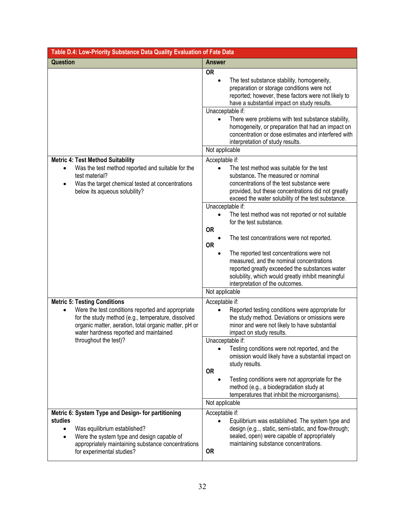| Table D.4: Low-Priority Substance Data Quality Evaluation of Fate Data                                                                                                                                                                            |                                                                                                                                                                                                                                                                                                                                                                                                                                                                                                                                                                                                                                                                                                                  |
|---------------------------------------------------------------------------------------------------------------------------------------------------------------------------------------------------------------------------------------------------|------------------------------------------------------------------------------------------------------------------------------------------------------------------------------------------------------------------------------------------------------------------------------------------------------------------------------------------------------------------------------------------------------------------------------------------------------------------------------------------------------------------------------------------------------------------------------------------------------------------------------------------------------------------------------------------------------------------|
| <b>Question</b>                                                                                                                                                                                                                                   | <b>Answer</b>                                                                                                                                                                                                                                                                                                                                                                                                                                                                                                                                                                                                                                                                                                    |
|                                                                                                                                                                                                                                                   | <b>OR</b><br>The test substance stability, homogeneity,<br>$\bullet$<br>preparation or storage conditions were not<br>reported; however, these factors were not likely to<br>have a substantial impact on study results.<br>Unacceptable if:<br>There were problems with test substance stability,<br>$\bullet$<br>homogeneity, or preparation that had an impact on<br>concentration or dose estimates and interfered with<br>interpretation of study results.                                                                                                                                                                                                                                                  |
|                                                                                                                                                                                                                                                   | Not applicable                                                                                                                                                                                                                                                                                                                                                                                                                                                                                                                                                                                                                                                                                                   |
| <b>Metric 4: Test Method Suitability</b><br>Was the test method reported and suitable for the<br>test material?<br>Was the target chemical tested at concentrations<br>$\bullet$<br>below its aqueous solubility?                                 | Acceptable if:<br>The test method was suitable for the test<br>$\bullet$<br>substance. The measured or nominal<br>concentrations of the test substance were<br>provided, but these concentrations did not greatly<br>exceed the water solubility of the test substance.<br>Unacceptable if:<br>The test method was not reported or not suitable<br>$\bullet$<br>for the test substance.<br><b>OR</b><br>The test concentrations were not reported.<br><b>OR</b><br>The reported test concentrations were not<br>$\bullet$<br>measured, and the nominal concentrations<br>reported greatly exceeded the substances water<br>solubility, which would greatly inhibit meaningful<br>interpretation of the outcomes. |
|                                                                                                                                                                                                                                                   | Not applicable                                                                                                                                                                                                                                                                                                                                                                                                                                                                                                                                                                                                                                                                                                   |
| <b>Metric 5: Testing Conditions</b><br>Were the test conditions reported and appropriate<br>for the study method (e.g., temperature, dissolved<br>organic matter, aeration, total organic matter, pH or<br>water hardness reported and maintained | Acceptable if:<br>Reported testing conditions were appropriate for<br>the study method. Deviations or omissions were<br>minor and were not likely to have substantial<br>impact on study results.                                                                                                                                                                                                                                                                                                                                                                                                                                                                                                                |
| throughout the test)?                                                                                                                                                                                                                             | Unacceptable if:<br>Testing conditions were not reported, and the<br>omission would likely have a substantial impact on<br>study results.<br><b>OR</b><br>Testing conditions were not appropriate for the<br>method (e.g., a biodegradation study at<br>temperatures that inhibit the microorganisms).<br>Not applicable                                                                                                                                                                                                                                                                                                                                                                                         |
| Metric 6: System Type and Design- for partitioning<br>studies<br>Was equilibrium established?<br>Were the system type and design capable of<br>appropriately maintaining substance concentrations<br>for experimental studies?                    | Acceptable if:<br>Equilibrium was established. The system type and<br>design (e.g, static, semi-static, and flow-through;<br>sealed, open) were capable of appropriately<br>maintaining substance concentrations.<br><b>OR</b>                                                                                                                                                                                                                                                                                                                                                                                                                                                                                   |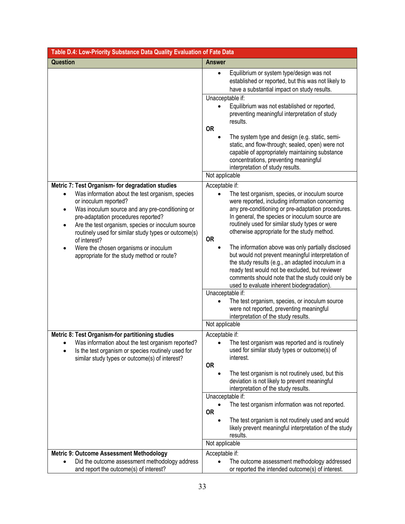| Table D.4: Low-Priority Substance Data Quality Evaluation of Fate Data                                                                                                                                                                                                                                        |                                                                                                                                                                                                                                                                                                                                      |
|---------------------------------------------------------------------------------------------------------------------------------------------------------------------------------------------------------------------------------------------------------------------------------------------------------------|--------------------------------------------------------------------------------------------------------------------------------------------------------------------------------------------------------------------------------------------------------------------------------------------------------------------------------------|
| <b>Question</b>                                                                                                                                                                                                                                                                                               | <b>Answer</b>                                                                                                                                                                                                                                                                                                                        |
|                                                                                                                                                                                                                                                                                                               | Equilibrium or system type/design was not<br>$\bullet$<br>established or reported, but this was not likely to<br>have a substantial impact on study results.                                                                                                                                                                         |
|                                                                                                                                                                                                                                                                                                               | Unacceptable if:                                                                                                                                                                                                                                                                                                                     |
|                                                                                                                                                                                                                                                                                                               | Equilibrium was not established or reported,<br>preventing meaningful interpretation of study<br>results.                                                                                                                                                                                                                            |
|                                                                                                                                                                                                                                                                                                               | <b>OR</b>                                                                                                                                                                                                                                                                                                                            |
|                                                                                                                                                                                                                                                                                                               | The system type and design (e.g. static, semi-<br>$\bullet$<br>static, and flow-through; sealed, open) were not<br>capable of appropriately maintaining substance<br>concentrations, preventing meaningful<br>interpretation of study results.                                                                                       |
|                                                                                                                                                                                                                                                                                                               | Not applicable                                                                                                                                                                                                                                                                                                                       |
| Metric 7: Test Organism- for degradation studies                                                                                                                                                                                                                                                              | Acceptable if:                                                                                                                                                                                                                                                                                                                       |
| Was information about the test organism, species<br>or inoculum reported?<br>Was inoculum source and any pre-conditioning or<br>$\bullet$<br>pre-adaptation procedures reported?<br>Are the test organism, species or inoculum source<br>routinely used for similar study types or outcome(s)<br>of interest? | The test organism, species, or inoculum source<br>$\bullet$<br>were reported, including information concerning<br>any pre-conditioning or pre-adaptation procedures.<br>In general, the species or inoculum source are<br>routinely used for similar study types or were<br>otherwise appropriate for the study method.<br><b>OR</b> |
| Were the chosen organisms or inoculum<br>$\bullet$<br>appropriate for the study method or route?                                                                                                                                                                                                              | The information above was only partially disclosed<br>$\bullet$<br>but would not prevent meaningful interpretation of<br>the study results (e.g., an adapted inoculum in a<br>ready test would not be excluded, but reviewer<br>comments should note that the study could only be<br>used to evaluate inherent biodegradation).      |
|                                                                                                                                                                                                                                                                                                               | Unacceptable if:<br>The test organism, species, or inoculum source                                                                                                                                                                                                                                                                   |
|                                                                                                                                                                                                                                                                                                               | were not reported, preventing meaningful<br>interpretation of the study results.                                                                                                                                                                                                                                                     |
|                                                                                                                                                                                                                                                                                                               | Not applicable                                                                                                                                                                                                                                                                                                                       |
| Metric 8: Test Organism-for partitioning studies                                                                                                                                                                                                                                                              | Acceptable if:                                                                                                                                                                                                                                                                                                                       |
| Was information about the test organism reported?<br>Is the test organism or species routinely used for<br>similar study types or outcome(s) of interest?                                                                                                                                                     | The test organism was reported and is routinely<br>$\bullet$<br>used for similar study types or outcome(s) of<br>interest.                                                                                                                                                                                                           |
|                                                                                                                                                                                                                                                                                                               | <b>OR</b><br>The test organism is not routinely used, but this                                                                                                                                                                                                                                                                       |
|                                                                                                                                                                                                                                                                                                               | deviation is not likely to prevent meaningful<br>interpretation of the study results.                                                                                                                                                                                                                                                |
|                                                                                                                                                                                                                                                                                                               | Unacceptable if:                                                                                                                                                                                                                                                                                                                     |
|                                                                                                                                                                                                                                                                                                               | The test organism information was not reported.<br><b>OR</b>                                                                                                                                                                                                                                                                         |
|                                                                                                                                                                                                                                                                                                               | The test organism is not routinely used and would<br>likely prevent meaningful interpretation of the study<br>results.                                                                                                                                                                                                               |
|                                                                                                                                                                                                                                                                                                               | Not applicable                                                                                                                                                                                                                                                                                                                       |
| <b>Metric 9: Outcome Assessment Methodology</b>                                                                                                                                                                                                                                                               | Acceptable if:                                                                                                                                                                                                                                                                                                                       |
| Did the outcome assessment methodology address<br>and report the outcome(s) of interest?                                                                                                                                                                                                                      | The outcome assessment methodology addressed<br>$\bullet$<br>or reported the intended outcome(s) of interest.                                                                                                                                                                                                                        |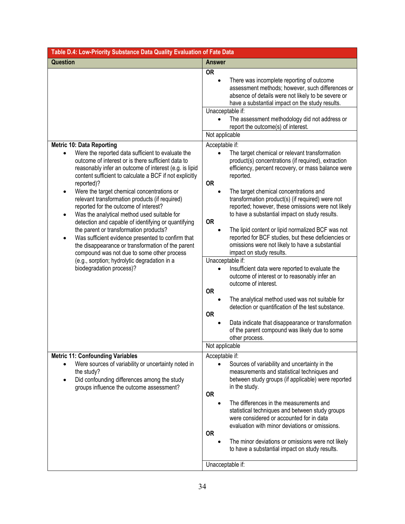| Table D.4: Low-Priority Substance Data Quality Evaluation of Fate Data                                                                                                                                                                                                                                                                                                                                                                                                                                                                                                                                                                                                                                                                                                                                                                     |                                                                                                                                                                                                                                                                                                                                                                                                                                                                                                                                                                                                                                                                                                                                                                                                                                                                                                                                                                                                                                                                                                                                                                                                                                                                                                                                                                                                                              |
|--------------------------------------------------------------------------------------------------------------------------------------------------------------------------------------------------------------------------------------------------------------------------------------------------------------------------------------------------------------------------------------------------------------------------------------------------------------------------------------------------------------------------------------------------------------------------------------------------------------------------------------------------------------------------------------------------------------------------------------------------------------------------------------------------------------------------------------------|------------------------------------------------------------------------------------------------------------------------------------------------------------------------------------------------------------------------------------------------------------------------------------------------------------------------------------------------------------------------------------------------------------------------------------------------------------------------------------------------------------------------------------------------------------------------------------------------------------------------------------------------------------------------------------------------------------------------------------------------------------------------------------------------------------------------------------------------------------------------------------------------------------------------------------------------------------------------------------------------------------------------------------------------------------------------------------------------------------------------------------------------------------------------------------------------------------------------------------------------------------------------------------------------------------------------------------------------------------------------------------------------------------------------------|
| <b>Question</b>                                                                                                                                                                                                                                                                                                                                                                                                                                                                                                                                                                                                                                                                                                                                                                                                                            | <b>Answer</b>                                                                                                                                                                                                                                                                                                                                                                                                                                                                                                                                                                                                                                                                                                                                                                                                                                                                                                                                                                                                                                                                                                                                                                                                                                                                                                                                                                                                                |
| <b>Metric 10: Data Reporting</b><br>Were the reported data sufficient to evaluate the<br>$\bullet$<br>outcome of interest or is there sufficient data to<br>reasonably infer an outcome of interest (e.g. is lipid<br>content sufficient to calculate a BCF if not explicitly<br>reported)?<br>Were the target chemical concentrations or<br>٠<br>relevant transformation products (if required)<br>reported for the outcome of interest?<br>Was the analytical method used suitable for<br>$\bullet$<br>detection and capable of identifying or quantifying<br>the parent or transformation products?<br>Was sufficient evidence presented to confirm that<br>the disappearance or transformation of the parent<br>compound was not due to some other process<br>(e.g., sorption; hydrolytic degradation in a<br>biodegradation process)? | <b>OR</b><br>There was incomplete reporting of outcome<br>$\bullet$<br>assessment methods; however, such differences or<br>absence of details were not likely to be severe or<br>have a substantial impact on the study results.<br>Unacceptable if:<br>The assessment methodology did not address or<br>report the outcome(s) of interest.<br>Not applicable<br>Acceptable if:<br>The target chemical or relevant transformation<br>$\bullet$<br>product(s) concentrations (if required), extraction<br>efficiency, percent recovery, or mass balance were<br>reported.<br><b>OR</b><br>The target chemical concentrations and<br>$\bullet$<br>transformation product(s) (if required) were not<br>reported; however, these omissions were not likely<br>to have a substantial impact on study results.<br><b>OR</b><br>The lipid content or lipid normalized BCF was not<br>reported for BCF studies, but these deficiencies or<br>omissions were not likely to have a substantial<br>impact on study results.<br>Unacceptable if:<br>Insufficient data were reported to evaluate the<br>outcome of interest or to reasonably infer an<br>outcome of interest.<br><b>OR</b><br>The analytical method used was not suitable for<br>detection or quantification of the test substance.<br><b>OR</b><br>Data indicate that disappearance or transformation<br>of the parent compound was likely due to some<br>other process. |
|                                                                                                                                                                                                                                                                                                                                                                                                                                                                                                                                                                                                                                                                                                                                                                                                                                            | Not applicable                                                                                                                                                                                                                                                                                                                                                                                                                                                                                                                                                                                                                                                                                                                                                                                                                                                                                                                                                                                                                                                                                                                                                                                                                                                                                                                                                                                                               |
| <b>Metric 11: Confounding Variables</b><br>Were sources of variability or uncertainty noted in<br>the study?<br>Did confounding differences among the study<br>$\bullet$<br>groups influence the outcome assessment?                                                                                                                                                                                                                                                                                                                                                                                                                                                                                                                                                                                                                       | Acceptable if:<br>Sources of variability and uncertainty in the<br>measurements and statistical techniques and<br>between study groups (if applicable) were reported<br>in the study.<br><b>OR</b><br>The differences in the measurements and<br>$\bullet$<br>statistical techniques and between study groups<br>were considered or accounted for in data<br>evaluation with minor deviations or omissions.<br><b>OR</b><br>The minor deviations or omissions were not likely<br>$\bullet$<br>to have a substantial impact on study results.<br>Unacceptable if:                                                                                                                                                                                                                                                                                                                                                                                                                                                                                                                                                                                                                                                                                                                                                                                                                                                             |